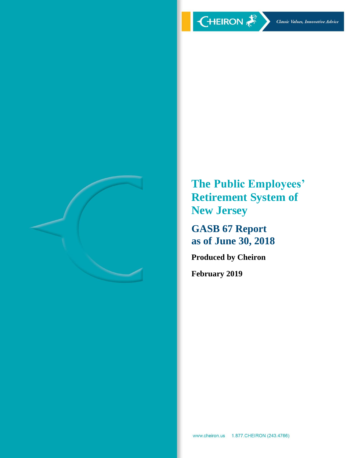

**The Public Employees' Retirement System of New Jersey**

**GASB 67 Report as of June 30, 2018**

**Produced by Cheiron**

**February 2019**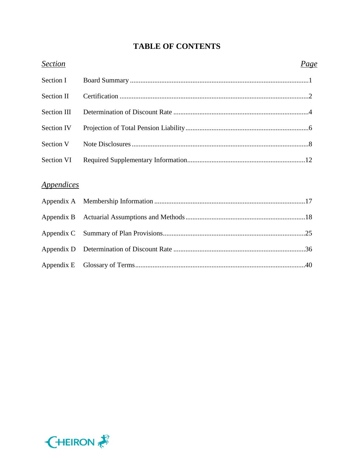# **TABLE OF CONTENTS**

| <b>Section</b>                  | <u>Page</u> |
|---------------------------------|-------------|
| Section I                       |             |
| <b>Section II</b>               |             |
| Section III                     |             |
| Section IV                      |             |
| Section V                       |             |
| Section VI                      |             |
|                                 |             |
| <i><u><b>Appendices</b></u></i> |             |
| Appendix A                      |             |
| Appendix B                      |             |
| Appendix C                      |             |
| Appendix D                      |             |
| Appendix E                      |             |

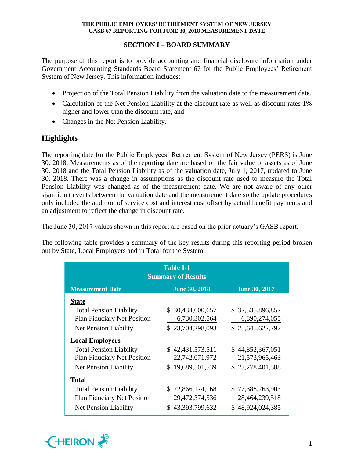# **SECTION I – BOARD SUMMARY**

The purpose of this report is to provide accounting and financial disclosure information under Government Accounting Standards Board Statement 67 for the Public Employees' Retirement System of New Jersey. This information includes:

- Projection of the Total Pension Liability from the valuation date to the measurement date,
- Calculation of the Net Pension Liability at the discount rate as well as discount rates 1% higher and lower than the discount rate, and
- Changes in the Net Pension Liability.

# **Highlights**

The reporting date for the Public Employees' Retirement System of New Jersey (PERS) is June 30, 2018. Measurements as of the reporting date are based on the fair value of assets as of June 30, 2018 and the Total Pension Liability as of the valuation date, July 1, 2017, updated to June 30, 2018. There was a change in assumptions as the discount rate used to measure the Total Pension Liability was changed as of the measurement date. We are not aware of any other significant events between the valuation date and the measurement date so the update procedures only included the addition of service cost and interest cost offset by actual benefit payments and an adjustment to reflect the change in discount rate.

The June 30, 2017 values shown in this report are based on the prior actuary's GASB report.

The following table provides a summary of the key results during this reporting period broken out by State, Local Employers and in Total for the System.

| <b>Table I-1</b><br><b>Summary of Results</b>                           |                   |                  |  |  |  |  |  |  |  |
|-------------------------------------------------------------------------|-------------------|------------------|--|--|--|--|--|--|--|
| <b>Measurement Date</b><br><b>June 30, 2017</b><br><b>June 30, 2018</b> |                   |                  |  |  |  |  |  |  |  |
| <b>State</b>                                                            |                   |                  |  |  |  |  |  |  |  |
| <b>Total Pension Liability</b>                                          | \$ 30,434,600,657 | \$32,535,896,852 |  |  |  |  |  |  |  |
| <b>Plan Fiduciary Net Position</b>                                      | 6,730,302,564     | 6,890,274,055    |  |  |  |  |  |  |  |
| <b>Net Pension Liability</b>                                            | \$23,704,298,093  | \$25,645,622,797 |  |  |  |  |  |  |  |
| <b>Local Employers</b>                                                  |                   |                  |  |  |  |  |  |  |  |
| <b>Total Pension Liability</b>                                          | \$42,431,573,511  | \$44,852,367,051 |  |  |  |  |  |  |  |
| Plan Fiduciary Net Position                                             | 22,742,071,972    | 21,573,965,463   |  |  |  |  |  |  |  |
| Net Pension Liability                                                   | \$19,689,501,539  | \$23,278,401,588 |  |  |  |  |  |  |  |
| <b>Total</b>                                                            |                   |                  |  |  |  |  |  |  |  |
| <b>Total Pension Liability</b>                                          | \$72,866,174,168  | \$77,388,263,903 |  |  |  |  |  |  |  |
| <b>Plan Fiduciary Net Position</b>                                      | 29,472,374,536    | 28,464,239,518   |  |  |  |  |  |  |  |
| <b>Net Pension Liability</b>                                            | \$43,393,799,632  | \$48,924,024,385 |  |  |  |  |  |  |  |

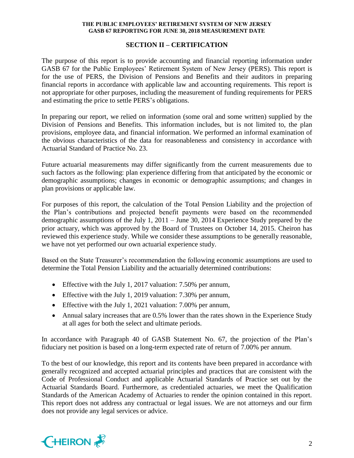# **SECTION II – CERTIFICATION**

The purpose of this report is to provide accounting and financial reporting information under GASB 67 for the Public Employees' Retirement System of New Jersey (PERS). This report is for the use of PERS, the Division of Pensions and Benefits and their auditors in preparing financial reports in accordance with applicable law and accounting requirements. This report is not appropriate for other purposes, including the measurement of funding requirements for PERS and estimating the price to settle PERS's obligations.

In preparing our report, we relied on information (some oral and some written) supplied by the Division of Pensions and Benefits. This information includes, but is not limited to, the plan provisions, employee data, and financial information. We performed an informal examination of the obvious characteristics of the data for reasonableness and consistency in accordance with Actuarial Standard of Practice No. 23.

Future actuarial measurements may differ significantly from the current measurements due to such factors as the following: plan experience differing from that anticipated by the economic or demographic assumptions; changes in economic or demographic assumptions; and changes in plan provisions or applicable law.

For purposes of this report, the calculation of the Total Pension Liability and the projection of the Plan's contributions and projected benefit payments were based on the recommended demographic assumptions of the July 1, 2011 – June 30, 2014 Experience Study prepared by the prior actuary, which was approved by the Board of Trustees on October 14, 2015. Cheiron has reviewed this experience study. While we consider these assumptions to be generally reasonable, we have not yet performed our own actuarial experience study.

Based on the State Treasurer's recommendation the following economic assumptions are used to determine the Total Pension Liability and the actuarially determined contributions:

- Effective with the July 1, 2017 valuation: 7.50% per annum,
- Effective with the July 1, 2019 valuation: 7.30% per annum,
- Effective with the July 1, 2021 valuation: 7.00% per annum,
- Annual salary increases that are 0.5% lower than the rates shown in the Experience Study at all ages for both the select and ultimate periods.

In accordance with Paragraph 40 of GASB Statement No. 67, the projection of the Plan's fiduciary net position is based on a long-term expected rate of return of 7.00% per annum.

To the best of our knowledge, this report and its contents have been prepared in accordance with generally recognized and accepted actuarial principles and practices that are consistent with the Code of Professional Conduct and applicable Actuarial Standards of Practice set out by the Actuarial Standards Board. Furthermore, as credentialed actuaries, we meet the Qualification Standards of the American Academy of Actuaries to render the opinion contained in this report. This report does not address any contractual or legal issues. We are not attorneys and our firm does not provide any legal services or advice.

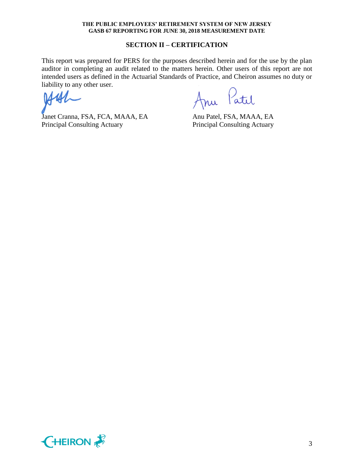#### **SECTION II – CERTIFICATION**

This report was prepared for PERS for the purposes described herein and for the use by the plan auditor in completing an audit related to the matters herein. Other users of this report are not intended users as defined in the Actuarial Standards of Practice, and Cheiron assumes no duty or liability to any other user.

Janet Cranna, FSA, FCA, MAAA, EA Anu Patel, FSA, MAAA, EA Principal Consulting Actuary Principal Consulting Actuary

mu Patil

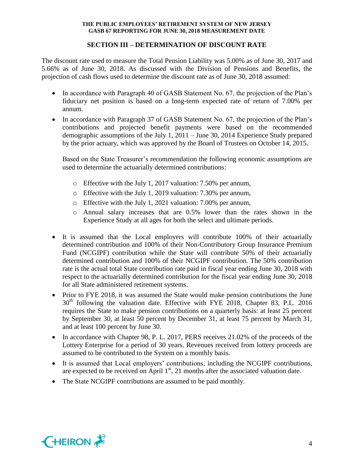# **SECTION III – DETERMINATION OF DISCOUNT RATE**

The discount rate used to measure the Total Pension Liability was 5.00% as of June 30, 2017 and 5.66% as of June 30, 2018. As discussed with the Division of Pensions and Benefits, the projection of cash flows used to determine the discount rate as of June 30, 2018 assumed:

- In accordance with Paragraph 40 of GASB Statement No. 67, the projection of the Plan's fiduciary net position is based on a long-term expected rate of return of 7.00% per annum.
- In accordance with Paragraph 37 of GASB Statement No. 67, the projection of the Plan's contributions and projected benefit payments were based on the recommended demographic assumptions of the July 1, 2011 – June 30, 2014 Experience Study prepared by the prior actuary, which was approved by the Board of Trustees on October 14, 2015.

Based on the State Treasurer's recommendation the following economic assumptions are used to determine the actuarially determined contributions:

- o Effective with the July 1, 2017 valuation: 7.50% per annum,
- o Effective with the July 1, 2019 valuation: 7.30% per annum,
- o Effective with the July 1, 2021 valuation: 7.00% per annum,
- o Annual salary increases that are 0.5% lower than the rates shown in the Experience Study at all ages for both the select and ultimate periods.
- It is assumed that the Local employers will contribute 100% of their actuarially determined contribution and 100% of their Non-Contributory Group Insurance Premium Fund (NCGIPF) contribution while the State will contribute 50% of their actuarially determined contribution and 100% of their NCGIPF contribution. The 50% contribution rate is the actual total State contribution rate paid in fiscal year ending June 30, 2018 with respect to the actuarially determined contribution for the fiscal year ending June 30, 2018 for all State administered retirement systems.
- Prior to FYE 2018, it was assumed the State would make pension contributions the June  $30<sup>th</sup>$  following the valuation date. Effective with FYE 2018, Chapter 83, P.L. 2016 requires the State to make pension contributions on a quarterly basis: at least 25 percent by September 30, at least 50 percent by December 31, at least 75 percent by March 31, and at least 100 percent by June 30.
- In accordance with Chapter 98, P. L. 2017, PERS receives 21.02% of the proceeds of the Lottery Enterprise for a period of 30 years. Revenues received from lottery proceeds are assumed to be contributed to the System on a monthly basis.
- It is assumed that Local employers' contributions, including the NCGIPF contributions, are expected to be received on April  $1<sup>st</sup>$ , 21 months after the associated valuation date.
- The State NCGIPF contributions are assumed to be paid monthly.

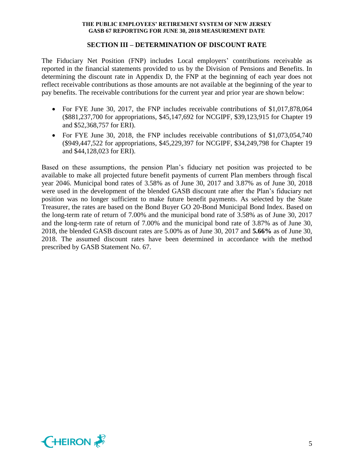#### **SECTION III – DETERMINATION OF DISCOUNT RATE**

The Fiduciary Net Position (FNP) includes Local employers' contributions receivable as reported in the financial statements provided to us by the Division of Pensions and Benefits. In determining the discount rate in Appendix D, the FNP at the beginning of each year does not reflect receivable contributions as those amounts are not available at the beginning of the year to pay benefits. The receivable contributions for the current year and prior year are shown below:

- For FYE June 30, 2017, the FNP includes receivable contributions of \$1,017,878,064 (\$881,237,700 for appropriations, \$45,147,692 for NCGIPF, \$39,123,915 for Chapter 19 and \$52,368,757 for ERI).
- For FYE June 30, 2018, the FNP includes receivable contributions of \$1,073,054,740 (\$949,447,522 for appropriations, \$45,229,397 for NCGIPF, \$34,249,798 for Chapter 19 and \$44,128,023 for ERI).

Based on these assumptions, the pension Plan's fiduciary net position was projected to be available to make all projected future benefit payments of current Plan members through fiscal year 2046. Municipal bond rates of 3.58% as of June 30, 2017 and 3.87% as of June 30, 2018 were used in the development of the blended GASB discount rate after the Plan's fiduciary net position was no longer sufficient to make future benefit payments. As selected by the State Treasurer, the rates are based on the Bond Buyer GO 20-Bond Municipal Bond Index. Based on the long-term rate of return of 7.00% and the municipal bond rate of 3.58% as of June 30, 2017 and the long-term rate of return of 7.00% and the municipal bond rate of 3.87% as of June 30, 2018, the blended GASB discount rates are 5.00% as of June 30, 2017 and **5.66%** as of June 30, 2018. The assumed discount rates have been determined in accordance with the method prescribed by GASB Statement No. 67.

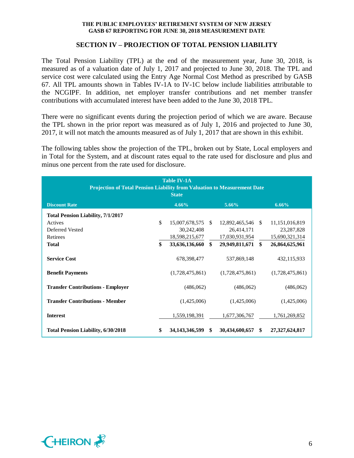## **SECTION IV – PROJECTION OF TOTAL PENSION LIABILITY**

The Total Pension Liability (TPL) at the end of the measurement year, June 30, 2018, is measured as of a valuation date of July 1, 2017 and projected to June 30, 2018. The TPL and service cost were calculated using the Entry Age Normal Cost Method as prescribed by GASB 67. All TPL amounts shown in Tables IV-1A to IV-1C below include liabilities attributable to the NCGIPF. In addition, net employer transfer contributions and net member transfer contributions with accumulated interest have been added to the June 30, 2018 TPL.

There were no significant events during the projection period of which we are aware. Because the TPL shown in the prior report was measured as of July 1, 2016 and projected to June 30, 2017, it will not match the amounts measured as of July 1, 2017 that are shown in this exhibit.

The following tables show the projection of the TPL, broken out by State, Local employers and in Total for the System, and at discount rates equal to the rate used for disclosure and plus and minus one percent from the rate used for disclosure.

| <b>Table IV-1A</b><br>Projection of Total Pension Liability from Valuation to Measurement Date<br><b>State</b> |    |                   |  |                   |  |                   |  |
|----------------------------------------------------------------------------------------------------------------|----|-------------------|--|-------------------|--|-------------------|--|
| <b>Discount Rate</b>                                                                                           |    | 4.66%             |  | 5.66%             |  | $6.66\%$          |  |
| <b>Total Pension Liability, 7/1/2017</b>                                                                       |    |                   |  |                   |  |                   |  |
| Actives                                                                                                        | \$ | 15,007,678,575 \$ |  | 12,892,465,546 \$ |  | 11, 151, 016, 819 |  |
| Deferred Vested                                                                                                |    | 30,242,408        |  | 26,414,171        |  | 23, 287, 828      |  |
| Retirees                                                                                                       |    | 18,598,215,677    |  | 17,030,931,954    |  | 15,690,321,314    |  |
| <b>Total</b>                                                                                                   | \$ | 33,636,136,660 \$ |  | 29,949,811,671 \$ |  | 26,864,625,961    |  |
| <b>Service Cost</b>                                                                                            |    | 678,398,477       |  | 537,869,148       |  | 432,115,933       |  |
| <b>Benefit Payments</b>                                                                                        |    | (1,728,475,861)   |  | (1,728,475,861)   |  | (1,728,475,861)   |  |
| <b>Transfer Contributions - Employer</b>                                                                       |    | (486,062)         |  | (486,062)         |  | (486,062)         |  |
| <b>Transfer Contributions - Member</b>                                                                         |    | (1,425,006)       |  | (1,425,006)       |  | (1,425,006)       |  |
| <b>Interest</b>                                                                                                |    | 1,559,198,391     |  | 1,677,306,767     |  | 1,761,269,852     |  |
| <b>Total Pension Liability, 6/30/2018</b>                                                                      | \$ | 34,143,346,599 \$ |  | 30,434,600,657 \$ |  | 27,327,624,817    |  |

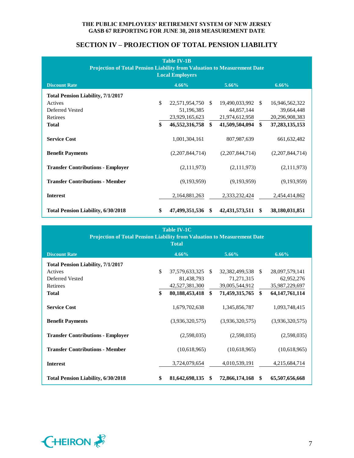# **SECTION IV – PROJECTION OF TOTAL PENSION LIABILITY**

| <b>Table IV-1B</b><br>Projection of Total Pension Liability from Valuation to Measurement Date<br><b>Local Employers</b> |    |                 |               |                 |               |                   |  |  |
|--------------------------------------------------------------------------------------------------------------------------|----|-----------------|---------------|-----------------|---------------|-------------------|--|--|
| <b>Discount Rate</b>                                                                                                     |    | 4.66%           |               | $5.66\%$        |               | 6.66%             |  |  |
| <b>Total Pension Liability, 7/1/2017</b>                                                                                 |    |                 |               |                 |               |                   |  |  |
| Actives                                                                                                                  | \$ | 22,571,954,750  | <sup>\$</sup> | 19,490,033,992  | -S            | 16,946,562,322    |  |  |
| Deferred Vested                                                                                                          |    | 51,196,385      |               | 44,857,144      |               | 39,664,448        |  |  |
| Retirees                                                                                                                 |    | 23,929,165,623  |               | 21,974,612,958  |               | 20,296,908,383    |  |  |
| <b>Total</b>                                                                                                             | \$ | 46,552,316,758  | \$            | 41,509,504,094  | $\mathbf{s}$  | 37, 283, 135, 153 |  |  |
| <b>Service Cost</b>                                                                                                      |    | 1,001,304,161   |               | 807,987,639     |               | 661, 632, 482     |  |  |
| <b>Benefit Payments</b>                                                                                                  |    | (2,207,844,714) |               | (2,207,844,714) |               | (2,207,844,714)   |  |  |
| <b>Transfer Contributions - Employer</b>                                                                                 |    | (2,111,973)     |               | (2,111,973)     |               | (2,111,973)       |  |  |
| <b>Transfer Contributions - Member</b>                                                                                   |    | (9,193,959)     |               | (9,193,959)     |               | (9,193,959)       |  |  |
| <b>Interest</b>                                                                                                          |    | 2,164,881,263   |               | 2,333,232,424   |               | 2,454,414,862     |  |  |
| <b>Total Pension Liability, 6/30/2018</b>                                                                                | \$ | 47,499,351,536  | <sup>\$</sup> | 42,431,573,511  | <sup>\$</sup> | 38,180,031,851    |  |  |

| <b>Table IV-1C</b><br><b>Projection of Total Pension Liability from Valuation to Measurement Date</b><br><b>Total</b> |    |                   |      |                   |  |                   |  |
|-----------------------------------------------------------------------------------------------------------------------|----|-------------------|------|-------------------|--|-------------------|--|
| <b>Discount Rate</b>                                                                                                  |    | $4.66\%$          |      | 5.66%             |  | 6.66%             |  |
| <b>Total Pension Liability, 7/1/2017</b>                                                                              |    |                   |      |                   |  |                   |  |
| Actives                                                                                                               | \$ | 37,579,633,325 \$ |      | 32,382,499,538 \$ |  | 28,097,579,141    |  |
| Deferred Vested                                                                                                       |    | 81,438,793        |      | 71,271,315        |  | 62,952,276        |  |
| Retirees                                                                                                              |    | 42,527,381,300    |      | 39,005,544,912    |  | 35,987,229,697    |  |
| <b>Total</b>                                                                                                          | \$ | 80,188,453,418 \$ |      | 71,459,315,765 \$ |  | 64, 147, 761, 114 |  |
| <b>Service Cost</b>                                                                                                   |    | 1,679,702,638     |      | 1,345,856,787     |  | 1,093,748,415     |  |
| <b>Benefit Payments</b>                                                                                               |    | (3,936,320,575)   |      | (3,936,320,575)   |  | (3,936,320,575)   |  |
| <b>Transfer Contributions - Employer</b>                                                                              |    | (2,598,035)       |      | (2,598,035)       |  | (2,598,035)       |  |
| <b>Transfer Contributions - Member</b>                                                                                |    | (10,618,965)      |      | (10,618,965)      |  | (10,618,965)      |  |
| <b>Interest</b>                                                                                                       |    | 3,724,079,654     |      | 4,010,539,191     |  | 4,215,684,714     |  |
| <b>Total Pension Liability, 6/30/2018</b>                                                                             | \$ | 81,642,698,135    | - \$ | 72,866,174,168 \$ |  | 65,507,656,668    |  |

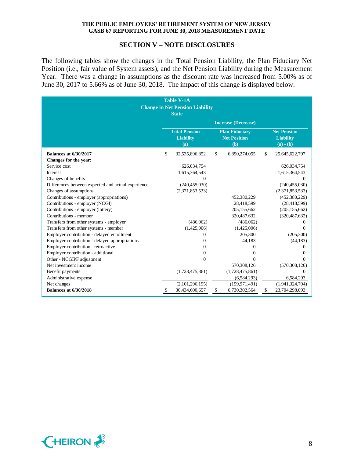#### **SECTION V – NOTE DISCLOSURES**

The following tables show the changes in the Total Pension Liability, the Plan Fiduciary Net Position (i.e., fair value of System assets), and the Net Pension Liability during the Measurement Year. There was a change in assumptions as the discount rate was increased from 5.00% as of June 30, 2017 to 5.66% as of June 30, 2018. The impact of this change is displayed below.

| <b>Table V-1A</b><br><b>Change in Net Pension Liability</b><br><b>State</b> |    |                                                 |    |                                                     |    |                                                       |
|-----------------------------------------------------------------------------|----|-------------------------------------------------|----|-----------------------------------------------------|----|-------------------------------------------------------|
|                                                                             |    |                                                 |    | <b>Increase (Decrease)</b>                          |    |                                                       |
|                                                                             |    | <b>Total Pension</b><br><b>Liability</b><br>(a) |    | <b>Plan Fiduciary</b><br><b>Net Position</b><br>(b) |    | <b>Net Pension</b><br><b>Liability</b><br>$(a) - (b)$ |
| <b>Balances at 6/30/2017</b>                                                | \$ | 32,535,896,852                                  | \$ | 6,890,274,055                                       | \$ | 25,645,622,797                                        |
| Changes for the year:                                                       |    |                                                 |    |                                                     |    |                                                       |
| Service cost                                                                |    | 626,034,754                                     |    |                                                     |    | 626,034,754                                           |
| Interest                                                                    |    | 1,615,364,543                                   |    |                                                     |    | 1,615,364,543                                         |
| Changes of benefits                                                         |    | $\Omega$                                        |    |                                                     |    | $\Omega$                                              |
| Differences between expected and actual experience                          |    | (240, 455, 030)                                 |    |                                                     |    | (240, 455, 030)                                       |
| Changes of assumptions                                                      |    | (2,371,853,533)                                 |    |                                                     |    | (2,371,853,533)                                       |
| Contributions - employer (appropriations)                                   |    |                                                 |    | 452,380,229                                         |    | (452, 380, 229)                                       |
| Contributions - employer (NCGI)                                             |    |                                                 |    | 28,418,599                                          |    | (28, 418, 599)                                        |
| Contributions - employer (lottery)                                          |    |                                                 |    | 205,155,662                                         |    | (205, 155, 662)                                       |
| Contributions - member                                                      |    |                                                 |    | 320,487,632                                         |    | (320, 487, 632)                                       |
| Transfers from other systems - employer                                     |    | (486,062)                                       |    | (486,062)                                           |    |                                                       |
| Transfers from other systems - member                                       |    | (1,425,006)                                     |    | (1,425,006)                                         |    | 0                                                     |
| Employer contribution - delayed enrollment                                  |    | 0                                               |    | 205,300                                             |    | (205, 300)                                            |
| Employer contribution - delayed appropriations                              |    | $\Omega$                                        |    | 44,183                                              |    | (44, 183)                                             |
| Employer contribution - retroactive                                         |    | 0                                               |    | 0                                                   |    | 0                                                     |
| Employer contribution - additional                                          |    | $\Omega$                                        |    | 0                                                   |    | $\mathbf{\Omega}$                                     |
| Other - NCGIPF adjustment                                                   |    | $\Omega$                                        |    | 0                                                   |    | 0                                                     |
| Net investment income                                                       |    |                                                 |    | 570,308,126                                         |    | (570, 308, 126)                                       |
| Benefit payments                                                            |    | (1,728,475,861)                                 |    | (1,728,475,861)                                     |    | $\Omega$                                              |
| Administrative expense                                                      |    |                                                 |    | (6, 584, 293)                                       |    | 6,584,293                                             |
| Net changes                                                                 |    | (2,101,296,195)                                 |    | (159, 971, 491)                                     |    | (1,941,324,704)                                       |
| <b>Balances at 6/30/2018</b>                                                | \$ | 30,434,600,657                                  | \$ | 6,730,302,564                                       | \$ | 23,704,298,093                                        |

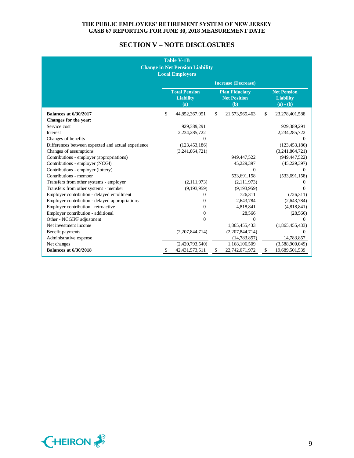# **SECTION V – NOTE DISCLOSURES**

| <b>Table V-1B</b><br><b>Change in Net Pension Liability</b><br><b>Local Employers</b> |    |                                                 |              |                                                     |              |                                                       |
|---------------------------------------------------------------------------------------|----|-------------------------------------------------|--------------|-----------------------------------------------------|--------------|-------------------------------------------------------|
|                                                                                       |    |                                                 |              | <b>Increase (Decrease)</b>                          |              |                                                       |
|                                                                                       |    | <b>Total Pension</b><br><b>Liability</b><br>(a) |              | <b>Plan Fiduciary</b><br><b>Net Position</b><br>(b) |              | <b>Net Pension</b><br><b>Liability</b><br>$(a) - (b)$ |
| <b>Balances at 6/30/2017</b>                                                          | \$ | 44,852,367,051                                  | $\mathbb{S}$ | 21,573,965,463                                      | $\mathbb{S}$ | 23,278,401,588                                        |
| Changes for the year:                                                                 |    |                                                 |              |                                                     |              |                                                       |
| Service cost                                                                          |    | 929,389,291                                     |              |                                                     |              | 929,389,291                                           |
| Interest                                                                              |    | 2,234,285,722                                   |              |                                                     |              | 2,234,285,722                                         |
| Changes of benefits                                                                   |    | 0                                               |              |                                                     |              | $\Omega$                                              |
| Differences between expected and actual experience                                    |    | (123, 453, 186)                                 |              |                                                     |              | (123, 453, 186)                                       |
| Changes of assumptions                                                                |    | (3,241,864,721)                                 |              |                                                     |              | (3,241,864,721)                                       |
| Contributions - employer (appropriations)                                             |    |                                                 |              | 949,447,522                                         |              | (949, 447, 522)                                       |
| Contributions - employer (NCGI)                                                       |    |                                                 |              | 45,229,397                                          |              | (45, 229, 397)                                        |
| Contributions - employer (lottery)                                                    |    |                                                 |              | $\Omega$                                            |              | $\Omega$                                              |
| Contributions - member                                                                |    |                                                 |              | 533,691,158                                         |              | (533, 691, 158)                                       |
| Transfers from other systems - employer                                               |    | (2,111,973)                                     |              | (2,111,973)                                         |              | $\Omega$                                              |
| Transfers from other systems - member                                                 |    | (9,193,959)                                     |              | (9,193,959)                                         |              | $\mathbf{0}$                                          |
| Employer contribution - delayed enrollment                                            |    | 0                                               |              | 726,311                                             |              | (726,311)                                             |
| Employer contribution - delayed appropriations                                        |    | $\Omega$                                        |              | 2,643,784                                           |              | (2,643,784)                                           |
| Employer contribution - retroactive                                                   |    | $\Omega$                                        |              | 4,818,841                                           |              | (4,818,841)                                           |
| Employer contribution - additional                                                    |    | $\Omega$                                        |              | 28,566                                              |              | (28, 566)                                             |
| Other - NCGIPF adjustment                                                             |    | $\Omega$                                        |              | $\Omega$                                            |              | $\Omega$                                              |
| Net investment income                                                                 |    |                                                 |              | 1,865,455,433                                       |              | (1,865,455,433)                                       |
| Benefit payments                                                                      |    | (2,207,844,714)                                 |              | (2,207,844,714)                                     |              | $\Omega$                                              |
| Administrative expense                                                                |    |                                                 |              | (14, 783, 857)                                      |              | 14,783,857                                            |
| Net changes                                                                           |    | (2,420,793,540)                                 |              | 1,168,106,509                                       |              | (3,588,900,049)                                       |
| <b>Balances at 6/30/2018</b>                                                          | \$ | 42, 431, 573, 511                               | \$           | 22,742,071,972                                      | \$           | 19,689,501,539                                        |

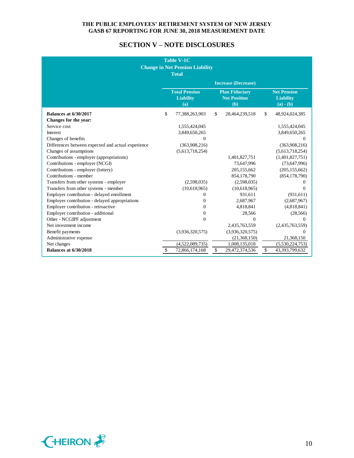# **SECTION V – NOTE DISCLOSURES**

| <b>Table V-1C</b><br><b>Change in Net Pension Liability</b><br><b>Total</b> |              |                                                 |    |                                                     |                         |                                                       |
|-----------------------------------------------------------------------------|--------------|-------------------------------------------------|----|-----------------------------------------------------|-------------------------|-------------------------------------------------------|
|                                                                             |              |                                                 |    | <b>Increase (Decrease)</b>                          |                         |                                                       |
|                                                                             |              | <b>Total Pension</b><br><b>Liability</b><br>(a) |    | <b>Plan Fiduciary</b><br><b>Net Position</b><br>(b) |                         | <b>Net Pension</b><br><b>Liability</b><br>$(a) - (b)$ |
| <b>Balances at 6/30/2017</b>                                                | \$           | 77,388,263,903                                  | \$ | 28,464,239,518                                      | $\mathbb{S}$            | 48,924,024,385                                        |
| Changes for the year:                                                       |              |                                                 |    |                                                     |                         |                                                       |
| Service cost                                                                |              | 1,555,424,045                                   |    |                                                     |                         | 1,555,424,045                                         |
| <b>Interest</b>                                                             |              | 3,849,650,265                                   |    |                                                     |                         | 3,849,650,265                                         |
| Changes of benefits                                                         |              | $\Omega$                                        |    |                                                     |                         | 0                                                     |
| Differences between expected and actual experience                          |              | (363,908,216)                                   |    |                                                     |                         | (363,908,216)                                         |
| Changes of assumptions                                                      |              | (5,613,718,254)                                 |    |                                                     |                         | (5,613,718,254)                                       |
| Contributions - employer (appropriations)                                   |              |                                                 |    | 1,401,827,751                                       |                         | (1,401,827,751)                                       |
| Contributions - employer (NCGI)                                             |              |                                                 |    | 73,647,996                                          |                         | (73,647,996)                                          |
| Contributions - employer (lottery)                                          |              |                                                 |    | 205,155,662                                         |                         | (205, 155, 662)                                       |
| Contributions - member                                                      |              |                                                 |    | 854,178,790                                         |                         | (854, 178, 790)                                       |
| Transfers from other systems - employer                                     |              | (2,598,035)                                     |    | (2,598,035)                                         |                         | 0                                                     |
| Transfers from other systems - member                                       |              | (10,618,965)                                    |    | (10,618,965)                                        |                         | $\theta$                                              |
| Employer contribution - delayed enrollment                                  |              | $\Omega$                                        |    | 931,611                                             |                         | (931, 611)                                            |
| Employer contribution - delayed appropriations                              |              | $\Omega$                                        |    | 2,687,967                                           |                         | (2,687,967)                                           |
| Employer contribution - retroactive                                         |              | $\mathbf{0}$                                    |    | 4,818,841                                           |                         | (4,818,841)                                           |
| Employer contribution - additional                                          |              | $\Omega$                                        |    | 28,566                                              |                         | (28, 566)                                             |
| Other - NCGIPF adjustment                                                   |              | $\Omega$                                        |    | 0                                                   |                         | $\Omega$                                              |
| Net investment income                                                       |              |                                                 |    | 2,435,763,559                                       |                         | (2,435,763,559)                                       |
| Benefit payments                                                            |              | (3,936,320,575)                                 |    | (3,936,320,575)                                     |                         | $\Omega$                                              |
| Administrative expense                                                      |              |                                                 |    | (21,368,150)                                        |                         | 21,368,150                                            |
| Net changes                                                                 |              | (4,522,089,735)                                 |    | 1,008,135,018                                       |                         | (5,530,224,753)                                       |
| <b>Balances at 6/30/2018</b>                                                | $\mathbb{S}$ | 72,866,174,168                                  | \$ | 29,472,374,536                                      | $\sqrt[6]{\frac{1}{2}}$ | 43,393,799,632                                        |

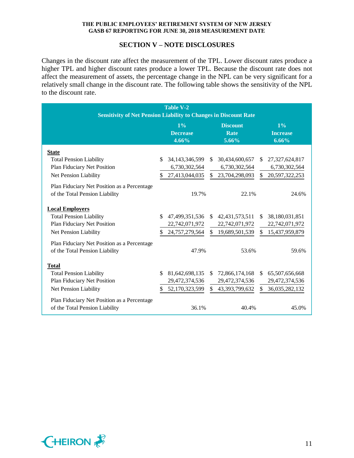#### **SECTION V – NOTE DISCLOSURES**

Changes in the discount rate affect the measurement of the TPL. Lower discount rates produce a higher TPL and higher discount rates produce a lower TPL. Because the discount rate does not affect the measurement of assets, the percentage change in the NPL can be very significant for a relatively small change in the discount rate. The following table shows the sensitivity of the NPL to the discount rate.

| <b>Table V-2</b>                                                        |               |                   |               |                  |               |                   |  |
|-------------------------------------------------------------------------|---------------|-------------------|---------------|------------------|---------------|-------------------|--|
| <b>Sensitivity of Net Pension Liability to Changes in Discount Rate</b> |               |                   |               |                  |               |                   |  |
|                                                                         |               | $1\%$             |               | <b>Discount</b>  |               | 1%                |  |
|                                                                         |               | <b>Decrease</b>   |               | Rate             |               | <b>Increase</b>   |  |
|                                                                         |               | 4.66%             |               | 5.66%            |               | 6.66%             |  |
| <b>State</b>                                                            |               |                   |               |                  |               |                   |  |
| <b>Total Pension Liability</b>                                          | S.            | 34, 143, 346, 599 | <sup>\$</sup> | 30,434,600,657   | \$.           | 27,327,624,817    |  |
| Plan Fiduciary Net Position                                             |               | 6,730,302,564     |               | 6,730,302,564    |               | 6,730,302,564     |  |
| Net Pension Liability                                                   | \$.           | 27,413,044,035    |               | \$23,704,298,093 |               | \$ 20,597,322,253 |  |
| Plan Fiduciary Net Position as a Percentage                             |               |                   |               |                  |               |                   |  |
| of the Total Pension Liability                                          |               | 19.7%             |               | 22.1%            |               | 24.6%             |  |
|                                                                         |               |                   |               |                  |               |                   |  |
| <b>Local Employers</b>                                                  |               |                   |               |                  |               |                   |  |
| <b>Total Pension Liability</b>                                          | $\mathcal{S}$ | 47,499,351,536    |               | \$42,431,573,511 | \$.           | 38,180,031,851    |  |
| Plan Fiduciary Net Position                                             |               | 22,742,071,972    |               | 22,742,071,972   |               | 22,742,071,972    |  |
| Net Pension Liability                                                   | \$            | 24,757,279,564    |               | \$19,689,501,539 |               | \$15,437,959,879  |  |
| Plan Fiduciary Net Position as a Percentage                             |               |                   |               |                  |               |                   |  |
| of the Total Pension Liability                                          |               | 47.9%             |               | 53.6%            |               | 59.6%             |  |
|                                                                         |               |                   |               |                  |               |                   |  |
| <b>Total</b>                                                            |               |                   |               |                  |               |                   |  |
| <b>Total Pension Liability</b>                                          | \$.           | 81,642,698,135    | \$            | 72,866,174,168   | <sup>\$</sup> | 65,507,656,668    |  |
| Plan Fiduciary Net Position                                             |               | 29,472,374,536    |               | 29,472,374,536   |               | 29,472,374,536    |  |
| Net Pension Liability                                                   | \$            | 52,170,323,599    |               | \$43,393,799,632 | \$.           | 36,035,282,132    |  |
| Plan Fiduciary Net Position as a Percentage                             |               |                   |               |                  |               |                   |  |
| of the Total Pension Liability                                          |               | 36.1%             |               | 40.4%            |               | 45.0%             |  |
|                                                                         |               |                   |               |                  |               |                   |  |

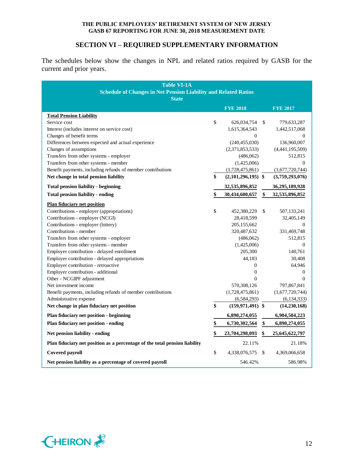# **SECTION VI – REQUIRED SUPPLEMENTARY INFORMATION**

The schedules below show the changes in NPL and related ratios required by GASB for the current and prior years.

| <b>Table VI-1A</b><br><b>Schedule of Changes in Net Pension Liability and Related Ratios</b><br><b>State</b> |      |                      |    |                 |  |  |
|--------------------------------------------------------------------------------------------------------------|------|----------------------|----|-----------------|--|--|
|                                                                                                              |      | <b>FYE 2018</b>      |    | <b>FYE 2017</b> |  |  |
| <b>Total Pension Liability</b>                                                                               |      |                      |    |                 |  |  |
| Service cost                                                                                                 | \$   | 626,034,754          | \$ | 779,633,287     |  |  |
| Interest (includes interest on service cost)                                                                 |      | 1,615,364,543        |    | 1,442,517,068   |  |  |
| Changes of benefit terms                                                                                     |      | $\Omega$             |    | $\Omega$        |  |  |
| Differences between expected and actual experience                                                           |      | (240, 455, 030)      |    | 136,960,007     |  |  |
| Changes of assumptions                                                                                       |      | (2,371,853,533)      |    | (4,441,195,509) |  |  |
| Transfers from other systems - employer                                                                      |      | (486,062)            |    | 512,815         |  |  |
| Transfers from other systems - member                                                                        |      | (1,425,006)          |    | $\Omega$        |  |  |
| Benefit payments, including refunds of member contributions                                                  |      | (1,728,475,861)      |    | (1,677,720,744) |  |  |
| Net change in total pension liability                                                                        | \$   | $(2,101,296,195)$ \$ |    | (3,759,293,076) |  |  |
| <b>Total pension liability - beginning</b>                                                                   |      | 32,535,896,852       |    | 36,295,189,928  |  |  |
| <b>Total pension liability - ending</b>                                                                      | \$   | 30,434,600,657       | \$ | 32,535,896,852  |  |  |
| <b>Plan fiduciary net position</b>                                                                           |      |                      |    |                 |  |  |
| Contributions - employer (appropriations)                                                                    | \$   | 452,380,229          | \$ | 507,133,241     |  |  |
| Contributions - employer (NCGI)                                                                              |      | 28,418,599           |    | 32,405,149      |  |  |
| Contributions - employer (lottery)                                                                           |      | 205,155,662          |    | $\mathbf{0}$    |  |  |
| Contributions - member                                                                                       |      | 320,487,632          |    | 331,469,748     |  |  |
| Transfers from other systems - employer                                                                      |      | (486,062)            |    | 512,815         |  |  |
| Transfers from other systems - member                                                                        |      | (1,425,006)          |    | $\Omega$        |  |  |
| Employer contribution - delayed enrollment                                                                   |      | 205,300              |    | 140,761         |  |  |
| Employer contribution - delayed appropriations                                                               |      | 44,183               |    | 30,408          |  |  |
| Employer contribution - retroactive                                                                          |      | $\mathbf{0}$         |    | 64,946          |  |  |
| Employer contribution - additional                                                                           |      | $\overline{0}$       |    | $\mathbf{0}$    |  |  |
| Other - NCGIPF adjustment                                                                                    |      | $\mathbf{0}$         |    | $\mathbf{0}$    |  |  |
| Net investment income                                                                                        |      | 570,308,126          |    | 797,867,841     |  |  |
| Benefit payments, including refunds of member contributions                                                  |      | (1,728,475,861)      |    | (1,677,720,744) |  |  |
| Administrative expense                                                                                       |      | (6,584,293)          |    | (6, 134, 333)   |  |  |
| Net change in plan fiduciary net position                                                                    | \$   | $(159, 971, 491)$ \$ |    | (14, 230, 168)  |  |  |
| <b>Plan fiduciary net position - beginning</b>                                                               |      | 6,890,274,055        |    | 6,904,504,223   |  |  |
| Plan fiduciary net position - ending                                                                         | \$   | 6,730,302,564        | \$ | 6,890,274,055   |  |  |
| Net pension liability - ending                                                                               | \$   | 23,704,298,093       | \$ | 25,645,622,797  |  |  |
| Plan fiduciary net position as a percentage of the total pension liability                                   |      | 22.11%               |    | 21.18%          |  |  |
| Covered payroll                                                                                              | $\$$ | 4,338,076,575        | \$ | 4,369,066,658   |  |  |
| Net pension liability as a percentage of covered payroll                                                     |      | 546.42%              |    | 586.98%         |  |  |

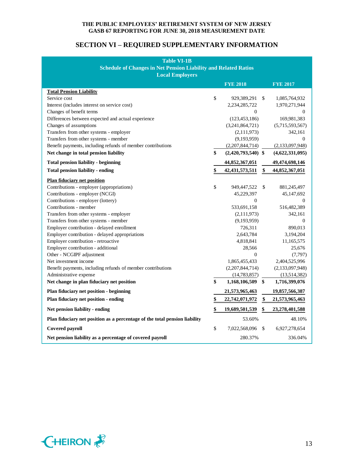# **SECTION VI – REQUIRED SUPPLEMENTARY INFORMATION**

| <b>Table VI-1B</b><br><b>Schedule of Changes in Net Pension Liability and Related Ratios</b><br><b>Local Employers</b> |      |                      |    |                  |  |  |
|------------------------------------------------------------------------------------------------------------------------|------|----------------------|----|------------------|--|--|
|                                                                                                                        |      | <b>FYE 2018</b>      |    | <b>FYE 2017</b>  |  |  |
| <b>Total Pension Liability</b>                                                                                         |      |                      |    |                  |  |  |
| Service cost                                                                                                           | \$   | 929,389,291 \$       |    | 1,085,764,932    |  |  |
| Interest (includes interest on service cost)                                                                           |      | 2,234,285,722        |    | 1,970,271,944    |  |  |
| Changes of benefit terms                                                                                               |      | 0                    |    | 0                |  |  |
| Differences between expected and actual experience                                                                     |      | (123, 453, 186)      |    | 169,981,383      |  |  |
| Changes of assumptions                                                                                                 |      | (3,241,864,721)      |    | (5,715,593,567)  |  |  |
| Transfers from other systems - employer                                                                                |      | (2,111,973)          |    | 342,161          |  |  |
| Transfers from other systems - member                                                                                  |      | (9,193,959)          |    | $\boldsymbol{0}$ |  |  |
| Benefit payments, including refunds of member contributions                                                            |      | (2,207,844,714)      |    | (2,133,097,948)  |  |  |
| Net change in total pension liability                                                                                  | \$   | $(2,420,793,540)$ \$ |    | (4,622,331,095)  |  |  |
| <b>Total pension liability - beginning</b>                                                                             |      | 44,852,367,051       |    | 49,474,698,146   |  |  |
| <b>Total pension liability - ending</b>                                                                                | \$   | 42, 431, 573, 511    | \$ | 44,852,367,051   |  |  |
| <b>Plan fiduciary net position</b>                                                                                     |      |                      |    |                  |  |  |
| Contributions - employer (appropriations)                                                                              | \$   | 949,447,522          | \$ | 881,245,497      |  |  |
| Contributions - employer (NCGI)                                                                                        |      | 45,229,397           |    | 45,147,692       |  |  |
| Contributions - employer (lottery)                                                                                     |      | $\boldsymbol{0}$     |    | 0                |  |  |
| Contributions - member                                                                                                 |      | 533,691,158          |    | 516,482,389      |  |  |
| Transfers from other systems - employer                                                                                |      | (2,111,973)          |    | 342,161          |  |  |
| Transfers from other systems - member                                                                                  |      | (9,193,959)          |    | 0                |  |  |
| Employer contribution - delayed enrollment                                                                             |      | 726,311              |    | 890,013          |  |  |
| Employer contribution - delayed appropriations                                                                         |      | 2,643,784            |    | 3,194,204        |  |  |
| Employer contribution - retroactive                                                                                    |      | 4,818,841            |    | 11,165,575       |  |  |
| Employer contribution - additional                                                                                     |      | 28,566               |    | 25,676           |  |  |
| Other - NCGIPF adjustment                                                                                              |      | $\mathbf{0}$         |    | (7,797)          |  |  |
| Net investment income                                                                                                  |      | 1,865,455,433        |    | 2,404,525,996    |  |  |
| Benefit payments, including refunds of member contributions                                                            |      | (2,207,844,714)      |    | (2,133,097,948)  |  |  |
| Administrative expense                                                                                                 |      | (14, 783, 857)       |    | (13,514,382)     |  |  |
| Net change in plan fiduciary net position                                                                              | \$   | 1,168,106,509 \$     |    | 1,716,399,076    |  |  |
| Plan fiduciary net position - beginning                                                                                |      | 21,573,965,463       |    | 19,857,566,387   |  |  |
| Plan fiduciary net position - ending                                                                                   | \$   | 22,742,071,972       | \$ | 21,573,965,463   |  |  |
| Net pension liability - ending                                                                                         | \$   | 19,689,501,539       | \$ | 23,278,401,588   |  |  |
| Plan fiduciary net position as a percentage of the total pension liability                                             |      | 53.60%               |    | 48.10%           |  |  |
| Covered payroll                                                                                                        | $\$$ | 7,022,568,096        | \$ | 6,927,278,654    |  |  |
| Net pension liability as a percentage of covered payroll                                                               |      | 280.37%              |    | 336.04%          |  |  |

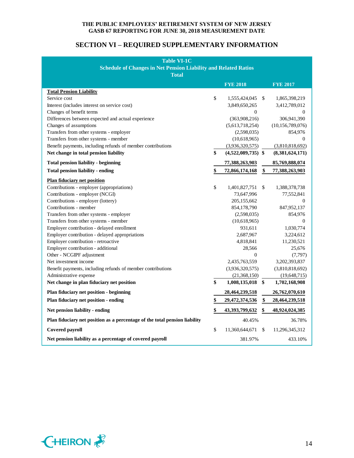# **SECTION VI – REQUIRED SUPPLEMENTARY INFORMATION**

| <b>Table VI-1C</b>                                                         |              |                             |                      |
|----------------------------------------------------------------------------|--------------|-----------------------------|----------------------|
| <b>Schedule of Changes in Net Pension Liability and Related Ratios</b>     |              |                             |                      |
| <b>Total</b>                                                               |              |                             |                      |
|                                                                            |              | <b>FYE 2018</b>             | <b>FYE 2017</b>      |
| <b>Total Pension Liability</b>                                             |              |                             |                      |
| Service cost                                                               | $\mathbb{S}$ | 1,555,424,045 \$            | 1,865,398,219        |
| Interest (includes interest on service cost)                               |              | 3,849,650,265               | 3,412,789,012        |
| Changes of benefit terms                                                   |              | $\boldsymbol{0}$            | 0                    |
| Differences between expected and actual experience                         |              | (363,908,216)               | 306,941,390          |
| Changes of assumptions                                                     |              | (5,613,718,254)             | (10, 156, 789, 076)  |
| Transfers from other systems - employer                                    |              |                             | 854,976              |
| Transfers from other systems - member                                      |              | (2,598,035)<br>(10,618,965) | 0                    |
|                                                                            |              |                             |                      |
| Benefit payments, including refunds of member contributions                |              | (3,936,320,575)             | (3,810,818,692)      |
| Net change in total pension liability                                      | \$           | $(4,522,089,735)$ \$        | (8,381,624,171)      |
| <b>Total pension liability - beginning</b>                                 |              | 77,388,263,903              | 85,769,888,074       |
| <b>Total pension liability - ending</b>                                    | \$           | 72,866,174,168              | \$<br>77,388,263,903 |
| <b>Plan fiduciary net position</b>                                         |              |                             |                      |
| Contributions - employer (appropriations)                                  | $\mathbb{S}$ | 1,401,827,751               | \$<br>1,388,378,738  |
| Contributions - employer (NCGI)                                            |              | 73,647,996                  | 77,552,841           |
| Contributions - employer (lottery)                                         |              | 205,155,662                 | 0                    |
| Contributions - member                                                     |              | 854,178,790                 | 847,952,137          |
| Transfers from other systems - employer                                    |              | (2,598,035)                 | 854,976              |
| Transfers from other systems - member                                      |              | (10,618,965)                | $\mathbf{0}$         |
| Employer contribution - delayed enrollment                                 |              | 931,611                     | 1,030,774            |
| Employer contribution - delayed appropriations                             |              | 2,687,967                   | 3,224,612            |
| Employer contribution - retroactive                                        |              | 4,818,841                   | 11,230,521           |
| Employer contribution - additional                                         |              | 28,566                      | 25,676               |
| Other - NCGIPF adjustment                                                  |              | 0                           | (7,797)              |
| Net investment income                                                      |              | 2,435,763,559               | 3,202,393,837        |
| Benefit payments, including refunds of member contributions                |              | (3,936,320,575)             | (3,810,818,692)      |
| Administrative expense                                                     |              | (21,368,150)                | (19,648,715)         |
| Net change in plan fiduciary net position                                  | \$           | 1,008,135,018 \$            | 1,702,168,908        |
| Plan fiduciary net position - beginning                                    |              | 28,464,239,518              | 26,762,070,610       |
| Plan fiduciary net position - ending                                       | \$           | 29,472,374,536              | \$<br>28,464,239,518 |
|                                                                            |              |                             |                      |
| Net pension liability - ending                                             | \$           | 43,393,799,632              | \$<br>48,924,024,385 |
| Plan fiduciary net position as a percentage of the total pension liability |              | 40.45%                      | 36.78%               |
| Covered payroll                                                            | $\mathbb{S}$ | 11,360,644,671              | \$<br>11,296,345,312 |
| Net pension liability as a percentage of covered payroll                   |              | 381.97%                     | 433.10%              |

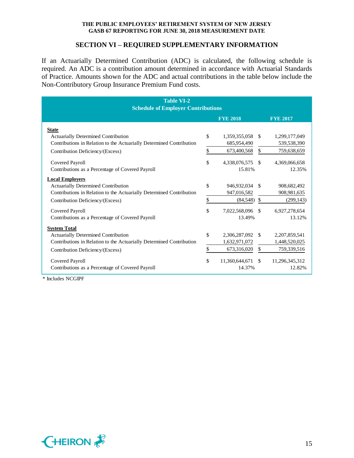#### **SECTION VI – REQUIRED SUPPLEMENTARY INFORMATION**

If an Actuarially Determined Contribution (ADC) is calculated, the following schedule is required. An ADC is a contribution amount determined in accordance with Actuarial Standards of Practice. Amounts shown for the ADC and actual contributions in the table below include the Non-Contributory Group Insurance Premium Fund costs.

| <b>Table VI-2</b><br><b>Schedule of Employer Contributions</b>       |    |                 |               |                 |  |
|----------------------------------------------------------------------|----|-----------------|---------------|-----------------|--|
|                                                                      |    | <b>FYE 2018</b> |               | <b>FYE 2017</b> |  |
| <b>State</b>                                                         |    |                 |               |                 |  |
| <b>Actuarially Determined Contribution</b>                           | \$ | 1,359,355,058   | <sup>\$</sup> | 1,299,177,049   |  |
| Contributions in Relation to the Actuarially Determined Contribution |    | 685,954,490     |               | 539,538,390     |  |
| Contribution Deficiency/(Excess)                                     | \$ | 673,400,568     | \$            | 759,638,659     |  |
| Covered Payroll                                                      | \$ | 4,338,076,575   | -\$           | 4,369,066,658   |  |
| Contributions as a Percentage of Covered Payroll                     |    | 15.81%          |               | 12.35%          |  |
| <b>Local Employers</b>                                               |    |                 |               |                 |  |
| <b>Actuarially Determined Contribution</b>                           | \$ | 946,932,034     | -\$           | 908,682,492     |  |
| Contributions in Relation to the Actuarially Determined Contribution |    | 947,016,582     |               | 908, 981, 635   |  |
| Contribution Deficiency/(Excess)                                     | \$ | (84, 548)       | \$            | (299, 143)      |  |
| Covered Payroll                                                      | \$ | 7,022,568,096   | -\$           | 6,927,278,654   |  |
| Contributions as a Percentage of Covered Payroll                     |    | 13.49%          |               | 13.12%          |  |
| <b>System Total</b>                                                  |    |                 |               |                 |  |
| <b>Actuarially Determined Contribution</b>                           | \$ | 2,306,287,092   | -\$           | 2,207,859,541   |  |
| Contributions in Relation to the Actuarially Determined Contribution |    | 1,632,971,072   |               | 1,448,520,025   |  |
| Contribution Deficiency/(Excess)                                     | \$ | 673,316,020     | \$            | 759,339,516     |  |
| Covered Payroll                                                      | \$ | 11,360,644,671  | -S            | 11,296,345,312  |  |
| Contributions as a Percentage of Covered Payroll                     |    | 14.37%          |               | 12.82%          |  |

\* Includes NCGIPF

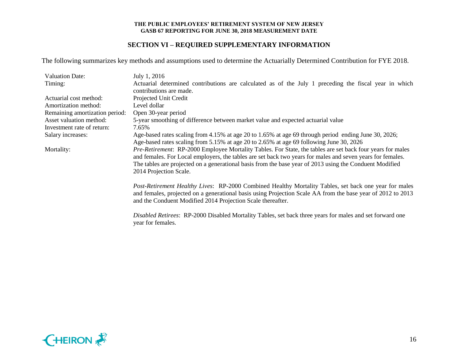# **SECTION VI – REQUIRED SUPPLEMENTARY INFORMATION**

The following summarizes key methods and assumptions used to determine the Actuarially Determined Contribution for FYE 2018.

| <b>Valuation Date:</b>         | July 1, 2016                                                                                                      |
|--------------------------------|-------------------------------------------------------------------------------------------------------------------|
| Timing:                        | Actuarial determined contributions are calculated as of the July 1 preceding the fiscal year in which             |
|                                | contributions are made.                                                                                           |
| Actuarial cost method:         | Projected Unit Credit                                                                                             |
| Amortization method:           | Level dollar                                                                                                      |
| Remaining amortization period: | Open 30-year period                                                                                               |
| Asset valuation method:        | 5-year smoothing of difference between market value and expected actuarial value                                  |
| Investment rate of return:     | 7.65%                                                                                                             |
| Salary increases:              | Age-based rates scaling from 4.15% at age 20 to 1.65% at age 69 through period ending June 30, 2026;              |
|                                | Age-based rates scaling from 5.15% at age 20 to 2.65% at age 69 following June 30, 2026                           |
| Mortality:                     | <i>Pre-Retirement:</i> RP-2000 Employee Mortality Tables. For State, the tables are set back four years for males |
|                                | and females. For Local employers, the tables are set back two years for males and seven years for females.        |
|                                | The tables are projected on a generational basis from the base year of 2013 using the Conduent Modified           |
|                                | 2014 Projection Scale.                                                                                            |
|                                | Post-Retirement Healthy Lives: RP-2000 Combined Healthy Mortality Tables, set back one year for males             |
|                                | and females, projected on a generational basis using Projection Scale AA from the base year of 2012 to 2013       |
|                                | and the Conduent Modified 2014 Projection Scale thereafter.                                                       |
|                                |                                                                                                                   |
|                                | Disabled Retirees: RP-2000 Disabled Mortality Tables, set back three years for males and set forward one          |
|                                | year for females.                                                                                                 |

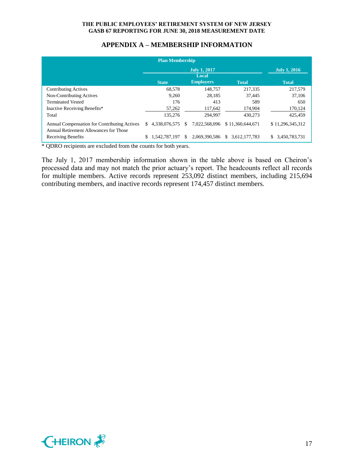|                                                                                        | <b>Plan Membership</b> |     |                              |                     |                     |
|----------------------------------------------------------------------------------------|------------------------|-----|------------------------------|---------------------|---------------------|
|                                                                                        |                        |     | <b>July 1, 2017</b><br>Local |                     | July 1, 2016        |
|                                                                                        | <b>State</b>           |     | <b>Employers</b>             | <b>Total</b>        | <b>Total</b>        |
| <b>Contributing Actives</b>                                                            | 68,578                 |     | 148,757                      | 217.335             | 217,579             |
| Non-Contributing Actives                                                               | 9.260                  |     | 28.185                       | 37.445              | 37,106              |
| <b>Terminated Vested</b>                                                               | 176                    |     | 413                          | 589                 | 650                 |
| Inactive Receiving Benefits*                                                           | 57,262                 |     | 117,642                      | 174,904             | 170,124             |
| Total                                                                                  | 135,276                |     | 294.997                      | 430,273             | 425,459             |
| Annual Compensation for Contributing Actives<br>Annual Retirement Allowances for Those | 4.338.076.575<br>S.    | \$. | 7.022.568.096                | \$11,360,644,671    | \$11.296.345.312    |
| Receiving Benefits                                                                     | S.<br>1.542.787.197    | \$. | 2,069,390,586                | 3.612.177.783<br>S. | \$<br>3,450,783,731 |

# **APPENDIX A – MEMBERSHIP INFORMATION**

\* QDRO recipients are excluded from the counts for both years.

The July 1, 2017 membership information shown in the table above is based on Cheiron's processed data and may not match the prior actuary's report. The headcounts reflect all records for multiple members. Active records represent 253,092 distinct members, including 215,694 contributing members, and inactive records represent 174,457 distinct members.

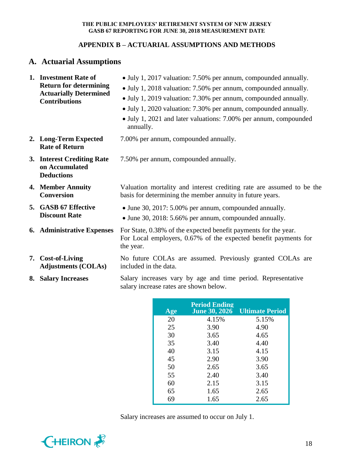# **APPENDIX B – ACTUARIAL ASSUMPTIONS AND METHODS**

# **A. Actuarial Assumptions**

| 1. Investment Rate of<br><b>Return for determining</b><br><b>Actuarially Determined</b><br><b>Contributions</b> | • July 1, 2017 valuation: 7.50% per annum, compounded annually.<br>• July 1, 2018 valuation: 7.50% per annum, compounded annually.<br>• July 1, 2019 valuation: 7.30% per annum, compounded annually.<br>• July 1, 2020 valuation: 7.30% per annum, compounded annually.<br>• July 1, 2021 and later valuations: 7.00% per annum, compounded<br>annually. |
|-----------------------------------------------------------------------------------------------------------------|-----------------------------------------------------------------------------------------------------------------------------------------------------------------------------------------------------------------------------------------------------------------------------------------------------------------------------------------------------------|
| 2. Long-Term Expected<br><b>Rate of Return</b>                                                                  | 7.00% per annum, compounded annually.                                                                                                                                                                                                                                                                                                                     |
| 3. Interest Crediting Rate<br>on Accumulated<br><b>Deductions</b>                                               | 7.50% per annum, compounded annually.                                                                                                                                                                                                                                                                                                                     |
| 4. Member Annuity<br><b>Conversion</b>                                                                          | Valuation mortality and interest crediting rate are assumed to be the<br>basis for determining the member annuity in future years.                                                                                                                                                                                                                        |
| 5. GASB 67 Effective<br><b>Discount Rate</b>                                                                    | • June 30, 2017: 5.00% per annum, compounded annually.<br>• June 30, 2018: 5.66% per annum, compounded annually.                                                                                                                                                                                                                                          |
| <b>6.</b> Administrative Expenses                                                                               | For State, 0.38% of the expected benefit payments for the year.<br>For Local employers, 0.67% of the expected benefit payments for<br>the year.                                                                                                                                                                                                           |
| 7. Cost-of-Living<br><b>Adjustments (COLAs)</b>                                                                 | No future COLAs are assumed. Previously granted COLAs are<br>included in the data.                                                                                                                                                                                                                                                                        |
| 8. Salary Increases                                                                                             | Salary increases vary by age and time period. Representative<br>salary increase rates are shown below.                                                                                                                                                                                                                                                    |

| Age | <b>Period Ending</b><br><b>June 30, 2026</b> | <b>Ultimate Period</b> |
|-----|----------------------------------------------|------------------------|
| 20  | 4.15%                                        | 5.15%                  |
| 25  | 3.90                                         | 4.90                   |
| 30  | 3.65                                         | 4.65                   |
| 35  | 3.40                                         | 4.40                   |
| 40  | 3.15                                         | 4.15                   |
| 45  | 2.90                                         | 3.90                   |
| 50  | 2.65                                         | 3.65                   |
| 55  | 2.40                                         | 3.40                   |
| 60  | 2.15                                         | 3.15                   |
| 65  | 1.65                                         | 2.65                   |
| 69  | 1.65                                         | 2.65                   |

Salary increases are assumed to occur on July 1.

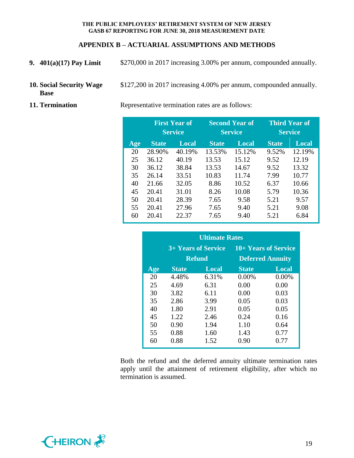# **APPENDIX B – ACTUARIAL ASSUMPTIONS AND METHODS**

- **9. 401(a)(17) Pay Limit** \$270,000 in 2017 increasing 3.00% per annum, compounded annually.
- **10. Social Security Wage Base** \$127,200 in 2017 increasing 4.00% per annum, compounded annually.
- 

**11. Termination** Representative termination rates are as follows:

|     | <b>First Year of</b><br><b>Service</b> |        | <b>Second Year of</b><br><b>Service</b> |        | <b>Third Year of</b><br><b>Service</b> |        |
|-----|----------------------------------------|--------|-----------------------------------------|--------|----------------------------------------|--------|
| Age | <b>State</b>                           | Local  | <b>State</b>                            | Local  | <b>State</b>                           | Local  |
| 20  | 28.90%                                 | 40.19% | 13.53%                                  | 15.12% | 9.52%                                  | 12.19% |
| 25  | 36.12                                  | 40.19  | 13.53                                   | 15.12  | 9.52                                   | 12.19  |
| 30  | 36.12                                  | 38.84  | 13.53                                   | 14.67  | 9.52                                   | 13.32  |
| 35  | 26.14                                  | 33.51  | 10.83                                   | 11.74  | 7.99                                   | 10.77  |
| 40  | 21.66                                  | 32.05  | 8.86                                    | 10.52  | 6.37                                   | 10.66  |
| 45  | 20.41                                  | 31.01  | 8.26                                    | 10.08  | 5.79                                   | 10.36  |
| 50  | 20.41                                  | 28.39  | 7.65                                    | 9.58   | 5.21                                   | 9.57   |
| 55  | 20.41                                  | 27.96  | 7.65                                    | 9.40   | 5.21                                   | 9.08   |
| 60  | 20.41                                  | 22.37  | 7.65                                    | 9.40   | 5.21                                   | 6.84   |

| <b>Ultimate Rates</b> |              |                     |              |                         |  |
|-----------------------|--------------|---------------------|--------------|-------------------------|--|
|                       |              | 3+ Years of Service |              | 10+ Years of Service    |  |
|                       |              | <b>Refund</b>       |              | <b>Deferred Annuity</b> |  |
| Age                   | <b>State</b> | <b>Local</b>        | <b>State</b> | <b>Local</b>            |  |
| 20                    | 4.48%        | 6.31%               | $0.00\%$     | $0.00\%$                |  |
| 25                    | 4.69         | 6.31                | 0.00         | 0.00                    |  |
| 30                    | 3.82         | 6.11                | 0.00         | 0.03                    |  |
| 35                    | 2.86         | 3.99                | 0.05         | 0.03                    |  |
| 40                    | 1.80         | 2.91                | 0.05         | 0.05                    |  |
| 45                    | 1.22         | 2.46                | 0.24         | 0.16                    |  |
| 50                    | 0.90         | 1.94                | 1.10         | 0.64                    |  |
| 55                    | 0.88         | 1.60                | 1.43         | 0.77                    |  |
| 60                    | 0.88         | 1.52                | 0.90         | 0.77                    |  |

Both the refund and the deferred annuity ultimate termination rates apply until the attainment of retirement eligibility, after which no termination is assumed.

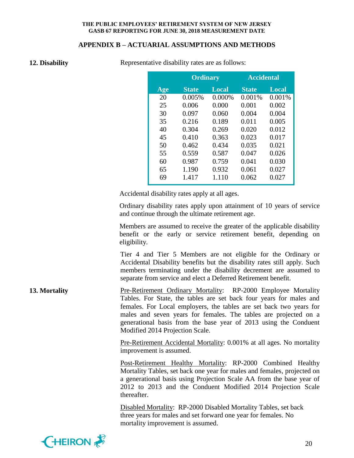### **APPENDIX B – ACTUARIAL ASSUMPTIONS AND METHODS**

| 12. Disability |
|----------------|
|                |

Representative disability rates are as follows:

|     | <b>Ordinary</b> |        | <b>Accidental</b> |              |
|-----|-----------------|--------|-------------------|--------------|
| Age | <b>State</b>    | Local  | <b>State</b>      | <b>Local</b> |
| 20  | 0.005%          | 0.000% | 0.001%            | 0.001%       |
| 25  | 0.006           | 0.000  | 0.001             | 0.002        |
| 30  | 0.097           | 0.060  | 0.004             | 0.004        |
| 35  | 0.216           | 0.189  | 0.011             | 0.005        |
| 40  | 0.304           | 0.269  | 0.020             | 0.012        |
| 45  | 0.410           | 0.363  | 0.023             | 0.017        |
| 50  | 0.462           | 0.434  | 0.035             | 0.021        |
| 55  | 0.559           | 0.587  | 0.047             | 0.026        |
| 60  | 0.987           | 0.759  | 0.041             | 0.030        |
| 65  | 1.190           | 0.932  | 0.061             | 0.027        |
| 69  | 1.417           | 1.110  | 0.062             | 0.027        |

Accidental disability rates apply at all ages.

Ordinary disability rates apply upon attainment of 10 years of service and continue through the ultimate retirement age.

Members are assumed to receive the greater of the applicable disability benefit or the early or service retirement benefit, depending on eligibility.

Tier 4 and Tier 5 Members are not eligible for the Ordinary or Accidental Disability benefits but the disability rates still apply. Such members terminating under the disability decrement are assumed to separate from service and elect a Deferred Retirement benefit.

**13. Mortality** Pre-Retirement Ordinary Mortality: RP-2000 Employee Mortality Tables. For State, the tables are set back four years for males and females. For Local employers, the tables are set back two years for males and seven years for females. The tables are projected on a generational basis from the base year of 2013 using the Conduent Modified 2014 Projection Scale.

> Pre-Retirement Accidental Mortality: 0.001% at all ages. No mortality improvement is assumed.

> Post-Retirement Healthy Mortality: RP-2000 Combined Healthy Mortality Tables, set back one year for males and females, projected on a generational basis using Projection Scale AA from the base year of 2012 to 2013 and the Conduent Modified 2014 Projection Scale thereafter.

Disabled Mortality: RP-2000 Disabled Mortality Tables, set back three years for males and set forward one year for females. No mortality improvement is assumed.

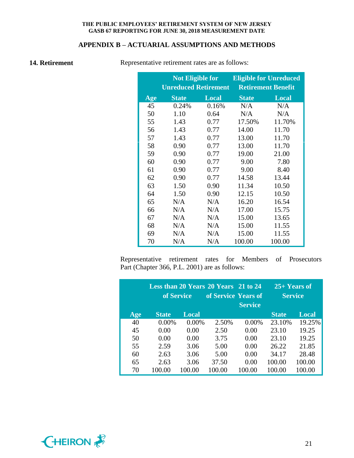# **APPENDIX B – ACTUARIAL ASSUMPTIONS AND METHODS**

**14. Retirement** Representative retirement rates are as follows:

|     | <b>Not Eligible for</b>     |              | <b>Eligible for Unreduced</b> |              |  |
|-----|-----------------------------|--------------|-------------------------------|--------------|--|
|     | <b>Unreduced Retirement</b> |              | <b>Retirement Benefit</b>     |              |  |
| Age | <b>State</b>                | <b>Local</b> | <b>State</b>                  | <b>Local</b> |  |
| 45  | 0.24%                       | 0.16%        | N/A                           | N/A          |  |
| 50  | 1.10                        | 0.64         | N/A                           | N/A          |  |
| 55  | 1.43                        | 0.77         | 17.50%                        | 11.70%       |  |
| 56  | 1.43                        | 0.77         | 14.00                         | 11.70        |  |
| 57  | 1.43                        | 0.77         | 13.00                         | 11.70        |  |
| 58  | 0.90                        | 0.77         | 13.00                         | 11.70        |  |
| 59  | 0.90                        | 0.77         | 19.00                         | 21.00        |  |
| 60  | 0.90                        | 0.77         | 9.00                          | 7.80         |  |
| 61  | 0.90                        | 0.77         | 9.00                          | 8.40         |  |
| 62  | 0.90                        | 0.77         | 14.58                         | 13.44        |  |
| 63  | 1.50                        | 0.90         | 11.34                         | 10.50        |  |
| 64  | 1.50                        | 0.90         | 12.15                         | 10.50        |  |
| 65  | N/A                         | N/A          | 16.20                         | 16.54        |  |
| 66  | N/A                         | N/A          | 17.00                         | 15.75        |  |
| 67  | N/A                         | N/A          | 15.00                         | 13.65        |  |
| 68  | N/A                         | N/A          | 15.00                         | 11.55        |  |
| 69  | N/A                         | N/A          | 15.00                         | 11.55        |  |
| 70  | N/A                         | N/A          | 100.00                        | 100.00       |  |

Representative retirement rates for Members of Prosecutors Part (Chapter 366, P.L. 2001) are as follows:

|     | of Service   |              | Less than 20 Years 20 Years 21 to 24<br>of Service Years of | <b>Service</b> | $25+$ Years of<br><b>Service</b> |              |
|-----|--------------|--------------|-------------------------------------------------------------|----------------|----------------------------------|--------------|
| Age | <b>State</b> | <b>Local</b> |                                                             |                | <b>State</b>                     | <b>Local</b> |
| 40  | $0.00\%$     | 0.00%        | 2.50%                                                       | $0.00\%$       | 23.10%                           | 19.25%       |
| 45  | 0.00         | 0.00         | 2.50                                                        | 0.00           | 23.10                            | 19.25        |
| 50  | 0.00         | 0.00         | 3.75                                                        | 0.00           | 23.10                            | 19.25        |
| 55  | 2.59         | 3.06         | 5.00                                                        | 0.00           | 26.22                            | 21.85        |
| 60  | 2.63         | 3.06         | 5.00                                                        | 0.00           | 34.17                            | 28.48        |
| 65  | 2.63         | 3.06         | 37.50                                                       | 0.00           | 100.00                           | 100.00       |
| 70  |              | 100.00       | 100.00                                                      | 100.00         | 100.00                           | 100.00       |

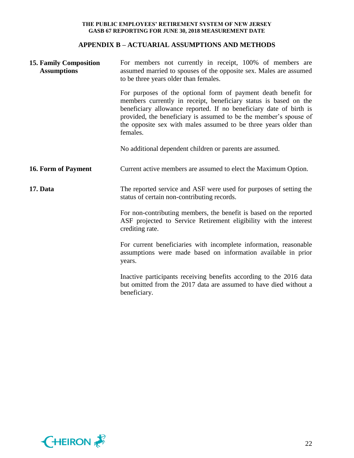# **APPENDIX B – ACTUARIAL ASSUMPTIONS AND METHODS**

| <b>15. Family Composition</b><br><b>Assumptions</b> | For members not currently in receipt, 100% of members are<br>assumed married to spouses of the opposite sex. Males are assumed<br>to be three years older than females.                                                                                                                                                                                       |
|-----------------------------------------------------|---------------------------------------------------------------------------------------------------------------------------------------------------------------------------------------------------------------------------------------------------------------------------------------------------------------------------------------------------------------|
|                                                     | For purposes of the optional form of payment death benefit for<br>members currently in receipt, beneficiary status is based on the<br>beneficiary allowance reported. If no beneficiary date of birth is<br>provided, the beneficiary is assumed to be the member's spouse of<br>the opposite sex with males assumed to be three years older than<br>females. |
|                                                     | No additional dependent children or parents are assumed.                                                                                                                                                                                                                                                                                                      |
| 16. Form of Payment                                 | Current active members are assumed to elect the Maximum Option.                                                                                                                                                                                                                                                                                               |
| 17. Data                                            | The reported service and ASF were used for purposes of setting the<br>status of certain non-contributing records.                                                                                                                                                                                                                                             |
|                                                     | For non-contributing members, the benefit is based on the reported<br>ASF projected to Service Retirement eligibility with the interest<br>crediting rate.                                                                                                                                                                                                    |
|                                                     | For current beneficiaries with incomplete information, reasonable<br>assumptions were made based on information available in prior<br>years.                                                                                                                                                                                                                  |
|                                                     | Inactive participants receiving benefits according to the 2016 data<br>but omitted from the 2017 data are assumed to have died without a<br>beneficiary.                                                                                                                                                                                                      |

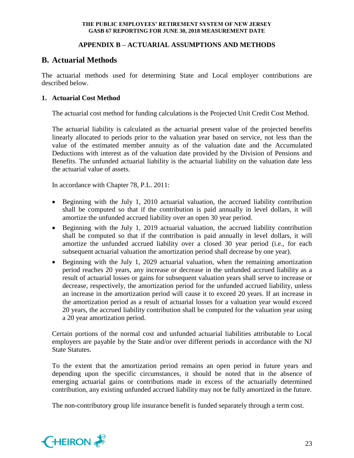# **APPENDIX B – ACTUARIAL ASSUMPTIONS AND METHODS**

# **B. Actuarial Methods**

The actuarial methods used for determining State and Local employer contributions are described below.

# **1. Actuarial Cost Method**

The actuarial cost method for funding calculations is the Projected Unit Credit Cost Method.

The actuarial liability is calculated as the actuarial present value of the projected benefits linearly allocated to periods prior to the valuation year based on service, not less than the value of the estimated member annuity as of the valuation date and the Accumulated Deductions with interest as of the valuation date provided by the Division of Pensions and Benefits. The unfunded actuarial liability is the actuarial liability on the valuation date less the actuarial value of assets.

In accordance with Chapter 78, P.L. 2011:

- Beginning with the July 1, 2010 actuarial valuation, the accrued liability contribution shall be computed so that if the contribution is paid annually in level dollars, it will amortize the unfunded accrued liability over an open 30 year period.
- Beginning with the July 1, 2019 actuarial valuation, the accrued liability contribution shall be computed so that if the contribution is paid annually in level dollars, it will amortize the unfunded accrued liability over a closed 30 year period (i.e., for each subsequent actuarial valuation the amortization period shall decrease by one year).
- Beginning with the July 1, 2029 actuarial valuation, when the remaining amortization period reaches 20 years, any increase or decrease in the unfunded accrued liability as a result of actuarial losses or gains for subsequent valuation years shall serve to increase or decrease, respectively, the amortization period for the unfunded accrued liability, unless an increase in the amortization period will cause it to exceed 20 years. If an increase in the amortization period as a result of actuarial losses for a valuation year would exceed 20 years, the accrued liability contribution shall be computed for the valuation year using a 20 year amortization period.

Certain portions of the normal cost and unfunded actuarial liabilities attributable to Local employers are payable by the State and/or over different periods in accordance with the NJ State Statutes.

To the extent that the amortization period remains an open period in future years and depending upon the specific circumstances, it should be noted that in the absence of emerging actuarial gains or contributions made in excess of the actuarially determined contribution, any existing unfunded accrued liability may not be fully amortized in the future.

The non-contributory group life insurance benefit is funded separately through a term cost.

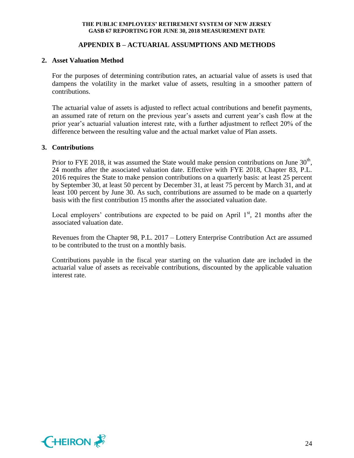# **APPENDIX B – ACTUARIAL ASSUMPTIONS AND METHODS**

#### **2. Asset Valuation Method**

For the purposes of determining contribution rates, an actuarial value of assets is used that dampens the volatility in the market value of assets, resulting in a smoother pattern of contributions.

The actuarial value of assets is adjusted to reflect actual contributions and benefit payments, an assumed rate of return on the previous year's assets and current year's cash flow at the prior year's actuarial valuation interest rate, with a further adjustment to reflect 20% of the difference between the resulting value and the actual market value of Plan assets.

#### **3. Contributions**

Prior to FYE 2018, it was assumed the State would make pension contributions on June  $30<sup>th</sup>$ , 24 months after the associated valuation date. Effective with FYE 2018, Chapter 83, P.L. 2016 requires the State to make pension contributions on a quarterly basis: at least 25 percent by September 30, at least 50 percent by December 31, at least 75 percent by March 31, and at least 100 percent by June 30. As such, contributions are assumed to be made on a quarterly basis with the first contribution 15 months after the associated valuation date.

Local employers' contributions are expected to be paid on April  $1<sup>st</sup>$ , 21 months after the associated valuation date.

Revenues from the Chapter 98, P.L. 2017 – Lottery Enterprise Contribution Act are assumed to be contributed to the trust on a monthly basis.

Contributions payable in the fiscal year starting on the valuation date are included in the actuarial value of assets as receivable contributions, discounted by the applicable valuation interest rate.

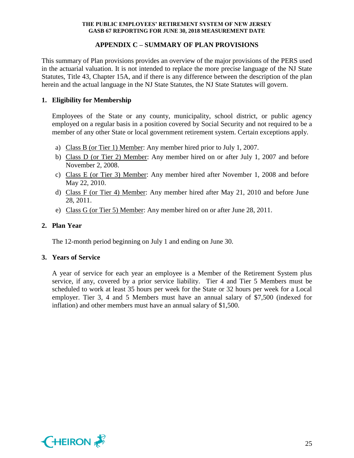# **APPENDIX C – SUMMARY OF PLAN PROVISIONS**

This summary of Plan provisions provides an overview of the major provisions of the PERS used in the actuarial valuation. It is not intended to replace the more precise language of the NJ State Statutes, Title 43, Chapter 15A, and if there is any difference between the description of the plan herein and the actual language in the NJ State Statutes, the NJ State Statutes will govern.

# **1. Eligibility for Membership**

Employees of the State or any county, municipality, school district, or public agency employed on a regular basis in a position covered by Social Security and not required to be a member of any other State or local government retirement system. Certain exceptions apply.

- a) Class B (or Tier 1) Member: Any member hired prior to July 1, 2007.
- b) Class D (or Tier 2) Member: Any member hired on or after July 1, 2007 and before November 2, 2008.
- c) Class E (or Tier 3) Member: Any member hired after November 1, 2008 and before May 22, 2010.
- d) Class F (or Tier 4) Member: Any member hired after May 21, 2010 and before June 28, 2011.
- e) Class G (or Tier 5) Member: Any member hired on or after June 28, 2011.

# **2. Plan Year**

The 12-month period beginning on July 1 and ending on June 30.

## **3. Years of Service**

A year of service for each year an employee is a Member of the Retirement System plus service, if any, covered by a prior service liability. Tier 4 and Tier 5 Members must be scheduled to work at least 35 hours per week for the State or 32 hours per week for a Local employer. Tier 3, 4 and 5 Members must have an annual salary of \$7,500 (indexed for inflation) and other members must have an annual salary of \$1,500.

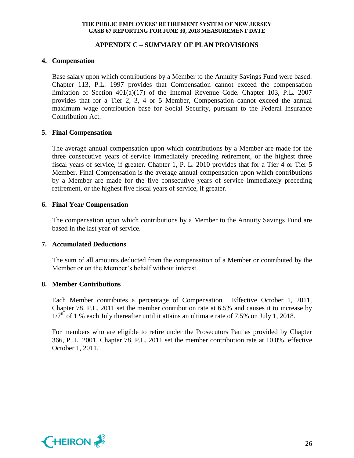# **APPENDIX C – SUMMARY OF PLAN PROVISIONS**

# **4. Compensation**

Base salary upon which contributions by a Member to the Annuity Savings Fund were based. Chapter 113, P.L. 1997 provides that Compensation cannot exceed the compensation limitation of Section 401(a)(17) of the Internal Revenue Code. Chapter 103, P.L. 2007 provides that for a Tier 2, 3, 4 or 5 Member, Compensation cannot exceed the annual maximum wage contribution base for Social Security, pursuant to the Federal Insurance Contribution Act.

# **5. Final Compensation**

The average annual compensation upon which contributions by a Member are made for the three consecutive years of service immediately preceding retirement, or the highest three fiscal years of service, if greater. Chapter 1, P. L. 2010 provides that for a Tier 4 or Tier 5 Member, Final Compensation is the average annual compensation upon which contributions by a Member are made for the five consecutive years of service immediately preceding retirement, or the highest five fiscal years of service, if greater.

## **6. Final Year Compensation**

The compensation upon which contributions by a Member to the Annuity Savings Fund are based in the last year of service.

## **7. Accumulated Deductions**

The sum of all amounts deducted from the compensation of a Member or contributed by the Member or on the Member's behalf without interest.

## **8. Member Contributions**

Each Member contributes a percentage of Compensation. Effective October 1, 2011, Chapter 78, P.L. 2011 set the member contribution rate at 6.5% and causes it to increase by  $1/7<sup>th</sup>$  of 1 % each July thereafter until it attains an ultimate rate of 7.5% on July 1, 2018.

For members who are eligible to retire under the Prosecutors Part as provided by Chapter 366, P .L. 2001, Chapter 78, P.L. 2011 set the member contribution rate at 10.0%, effective October 1, 2011.

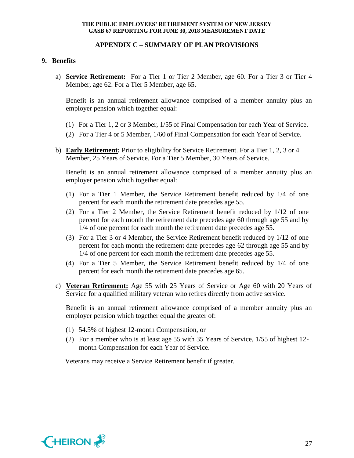### **APPENDIX C – SUMMARY OF PLAN PROVISIONS**

#### **9. Benefits**

a) **Service Retirement:** For a Tier 1 or Tier 2 Member, age 60. For a Tier 3 or Tier 4 Member, age 62. For a Tier 5 Member, age 65.

Benefit is an annual retirement allowance comprised of a member annuity plus an employer pension which together equal:

- (1) For a Tier 1, 2 or 3 Member, 1/55 of Final Compensation for each Year of Service.
- (2) For a Tier 4 or 5 Member, 1/60 of Final Compensation for each Year of Service.
- b) **Early Retirement:** Prior to eligibility for Service Retirement. For a Tier 1, 2, 3 or 4 Member, 25 Years of Service. For a Tier 5 Member, 30 Years of Service.

Benefit is an annual retirement allowance comprised of a member annuity plus an employer pension which together equal:

- (1) For a Tier 1 Member, the Service Retirement benefit reduced by 1/4 of one percent for each month the retirement date precedes age 55.
- (2) For a Tier 2 Member, the Service Retirement benefit reduced by 1/12 of one percent for each month the retirement date precedes age 60 through age 55 and by 1/4 of one percent for each month the retirement date precedes age 55.
- (3) For a Tier 3 or 4 Member, the Service Retirement benefit reduced by 1/12 of one percent for each month the retirement date precedes age 62 through age 55 and by 1/4 of one percent for each month the retirement date precedes age 55.
- (4) For a Tier 5 Member, the Service Retirement benefit reduced by 1/4 of one percent for each month the retirement date precedes age 65.
- c) **Veteran Retirement:** Age 55 with 25 Years of Service or Age 60 with 20 Years of Service for a qualified military veteran who retires directly from active service.

Benefit is an annual retirement allowance comprised of a member annuity plus an employer pension which together equal the greater of:

- (1) 54.5% of highest 12-month Compensation, or
- (2) For a member who is at least age 55 with 35 Years of Service, 1/55 of highest 12 month Compensation for each Year of Service.

Veterans may receive a Service Retirement benefit if greater.

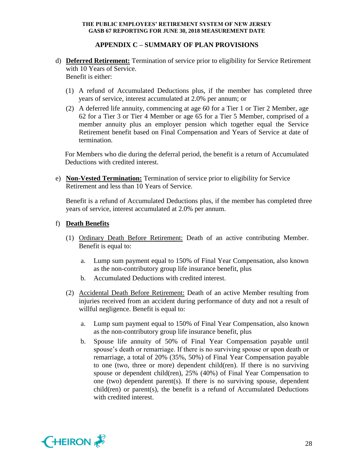# **APPENDIX C – SUMMARY OF PLAN PROVISIONS**

- d) **Deferred Retirement:** Termination of service prior to eligibility for Service Retirement with 10 Years of Service. Benefit is either:
	- (1) A refund of Accumulated Deductions plus, if the member has completed three years of service, interest accumulated at 2.0% per annum; or
	- (2) A deferred life annuity, commencing at age 60 for a Tier 1 or Tier 2 Member, age 62 for a Tier 3 or Tier 4 Member or age 65 for a Tier 5 Member, comprised of a member annuity plus an employer pension which together equal the Service Retirement benefit based on Final Compensation and Years of Service at date of termination.

For Members who die during the deferral period, the benefit is a return of Accumulated Deductions with credited interest.

e) **Non-Vested Termination:** Termination of service prior to eligibility for Service Retirement and less than 10 Years of Service.

Benefit is a refund of Accumulated Deductions plus, if the member has completed three years of service, interest accumulated at 2.0% per annum.

## f) **Death Benefits**

- (1) Ordinary Death Before Retirement: Death of an active contributing Member. Benefit is equal to:
	- a. Lump sum payment equal to 150% of Final Year Compensation, also known as the non-contributory group life insurance benefit, plus
	- b. Accumulated Deductions with credited interest.
- (2) Accidental Death Before Retirement: Death of an active Member resulting from injuries received from an accident during performance of duty and not a result of willful negligence. Benefit is equal to:
	- a. Lump sum payment equal to 150% of Final Year Compensation, also known as the non-contributory group life insurance benefit, plus
	- b. Spouse life annuity of 50% of Final Year Compensation payable until spouse's death or remarriage. If there is no surviving spouse or upon death or remarriage, a total of 20% (35%, 50%) of Final Year Compensation payable to one (two, three or more) dependent child(ren). If there is no surviving spouse or dependent child(ren), 25% (40%) of Final Year Compensation to one (two) dependent parent(s). If there is no surviving spouse, dependent child(ren) or parent(s), the benefit is a refund of Accumulated Deductions with credited interest.

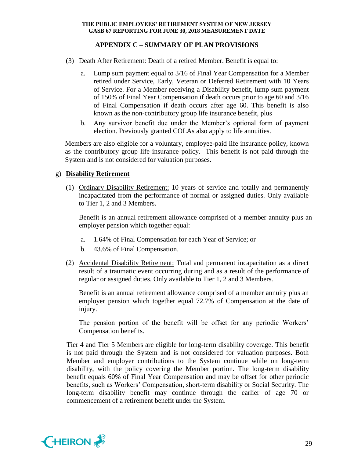# **APPENDIX C – SUMMARY OF PLAN PROVISIONS**

- (3) Death After Retirement: Death of a retired Member. Benefit is equal to:
	- a. Lump sum payment equal to 3/16 of Final Year Compensation for a Member retired under Service, Early, Veteran or Deferred Retirement with 10 Years of Service. For a Member receiving a Disability benefit, lump sum payment of 150% of Final Year Compensation if death occurs prior to age 60 and 3/16 of Final Compensation if death occurs after age 60. This benefit is also known as the non-contributory group life insurance benefit, plus
	- b. Any survivor benefit due under the Member's optional form of payment election. Previously granted COLAs also apply to life annuities.

Members are also eligible for a voluntary, employee-paid life insurance policy, known as the contributory group life insurance policy. This benefit is not paid through the System and is not considered for valuation purposes.

## g) **Disability Retirement**

(1) Ordinary Disability Retirement: 10 years of service and totally and permanently incapacitated from the performance of normal or assigned duties. Only available to Tier 1, 2 and 3 Members.

Benefit is an annual retirement allowance comprised of a member annuity plus an employer pension which together equal:

- a. 1.64% of Final Compensation for each Year of Service; or
- b. 43.6% of Final Compensation.
- (2) Accidental Disability Retirement: Total and permanent incapacitation as a direct result of a traumatic event occurring during and as a result of the performance of regular or assigned duties. Only available to Tier 1, 2 and 3 Members.

Benefit is an annual retirement allowance comprised of a member annuity plus an employer pension which together equal 72.7% of Compensation at the date of injury.

The pension portion of the benefit will be offset for any periodic Workers' Compensation benefits.

Tier 4 and Tier 5 Members are eligible for long-term disability coverage. This benefit is not paid through the System and is not considered for valuation purposes. Both Member and employer contributions to the System continue while on long-term disability, with the policy covering the Member portion. The long-term disability benefit equals 60% of Final Year Compensation and may be offset for other periodic benefits, such as Workers' Compensation, short-term disability or Social Security. The long-term disability benefit may continue through the earlier of age 70 or commencement of a retirement benefit under the System.

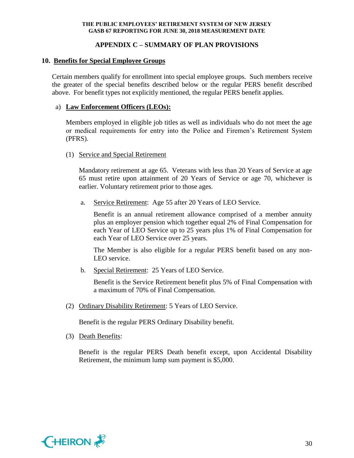# **APPENDIX C – SUMMARY OF PLAN PROVISIONS**

# **10. Benefits for Special Employee Groups**

Certain members qualify for enrollment into special employee groups. Such members receive the greater of the special benefits described below or the regular PERS benefit described above. For benefit types not explicitly mentioned, the regular PERS benefit applies.

# a) **Law Enforcement Officers (LEOs):**

Members employed in eligible job titles as well as individuals who do not meet the age or medical requirements for entry into the Police and Firemen's Retirement System (PFRS).

## (1) Service and Special Retirement

Mandatory retirement at age 65. Veterans with less than 20 Years of Service at age 65 must retire upon attainment of 20 Years of Service or age 70, whichever is earlier. Voluntary retirement prior to those ages.

a. Service Retirement: Age 55 after 20 Years of LEO Service.

Benefit is an annual retirement allowance comprised of a member annuity plus an employer pension which together equal 2% of Final Compensation for each Year of LEO Service up to 25 years plus 1% of Final Compensation for each Year of LEO Service over 25 years.

The Member is also eligible for a regular PERS benefit based on any non-LEO service.

b. Special Retirement: 25 Years of LEO Service.

Benefit is the Service Retirement benefit plus 5% of Final Compensation with a maximum of 70% of Final Compensation.

(2) Ordinary Disability Retirement: 5 Years of LEO Service.

Benefit is the regular PERS Ordinary Disability benefit.

(3) Death Benefits:

Benefit is the regular PERS Death benefit except, upon Accidental Disability Retirement, the minimum lump sum payment is \$5,000.

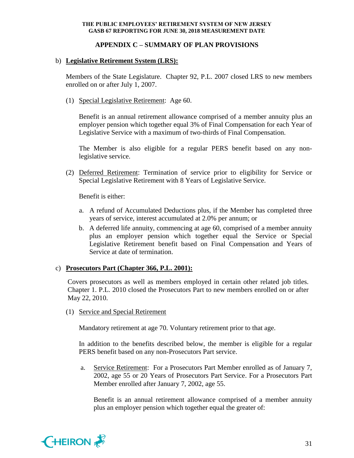# **APPENDIX C – SUMMARY OF PLAN PROVISIONS**

# b) **Legislative Retirement System (LRS):**

Members of the State Legislature. Chapter 92, P.L. 2007 closed LRS to new members enrolled on or after July 1, 2007.

(1) Special Legislative Retirement: Age 60.

Benefit is an annual retirement allowance comprised of a member annuity plus an employer pension which together equal 3% of Final Compensation for each Year of Legislative Service with a maximum of two-thirds of Final Compensation.

The Member is also eligible for a regular PERS benefit based on any nonlegislative service.

(2) Deferred Retirement: Termination of service prior to eligibility for Service or Special Legislative Retirement with 8 Years of Legislative Service.

Benefit is either:

- a. A refund of Accumulated Deductions plus, if the Member has completed three years of service, interest accumulated at 2.0% per annum; or
- b. A deferred life annuity, commencing at age 60, comprised of a member annuity plus an employer pension which together equal the Service or Special Legislative Retirement benefit based on Final Compensation and Years of Service at date of termination.

## c) **Prosecutors Part (Chapter 366, P.L. 2001):**

Covers prosecutors as well as members employed in certain other related job titles. Chapter 1. P.L. 2010 closed the Prosecutors Part to new members enrolled on or after May 22, 2010.

(1) Service and Special Retirement

Mandatory retirement at age 70. Voluntary retirement prior to that age.

In addition to the benefits described below, the member is eligible for a regular PERS benefit based on any non-Prosecutors Part service.

a. Service Retirement: For a Prosecutors Part Member enrolled as of January 7, 2002, age 55 or 20 Years of Prosecutors Part Service. For a Prosecutors Part Member enrolled after January 7, 2002, age 55.

Benefit is an annual retirement allowance comprised of a member annuity plus an employer pension which together equal the greater of:

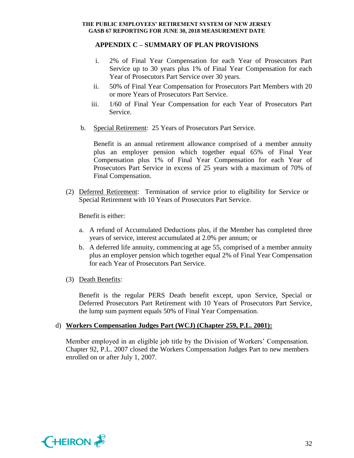# **APPENDIX C – SUMMARY OF PLAN PROVISIONS**

- i. 2% of Final Year Compensation for each Year of Prosecutors Part Service up to 30 years plus 1% of Final Year Compensation for each Year of Prosecutors Part Service over 30 years.
- ii. 50% of Final Year Compensation for Prosecutors Part Members with 20 or more Years of Prosecutors Part Service.
- iii. 1/60 of Final Year Compensation for each Year of Prosecutors Part Service.
- b. Special Retirement: 25 Years of Prosecutors Part Service.

Benefit is an annual retirement allowance comprised of a member annuity plus an employer pension which together equal 65% of Final Year Compensation plus 1% of Final Year Compensation for each Year of Prosecutors Part Service in excess of 25 years with a maximum of 70% of Final Compensation.

(2) Deferred Retirement: Termination of service prior to eligibility for Service or Special Retirement with 10 Years of Prosecutors Part Service.

Benefit is either:

- a. A refund of Accumulated Deductions plus, if the Member has completed three years of service, interest accumulated at 2.0% per annum; or
- b. A deferred life annuity, commencing at age 55, comprised of a member annuity plus an employer pension which together equal 2% of Final Year Compensation for each Year of Prosecutors Part Service.
- (3) Death Benefits:

Benefit is the regular PERS Death benefit except, upon Service, Special or Deferred Prosecutors Part Retirement with 10 Years of Prosecutors Part Service, the lump sum payment equals 50% of Final Year Compensation.

## d) **Workers Compensation Judges Part (WCJ) (Chapter 259, P.L. 2001):**

Member employed in an eligible job title by the Division of Workers' Compensation. Chapter 92, P.L. 2007 closed the Workers Compensation Judges Part to new members enrolled on or after July 1, 2007.

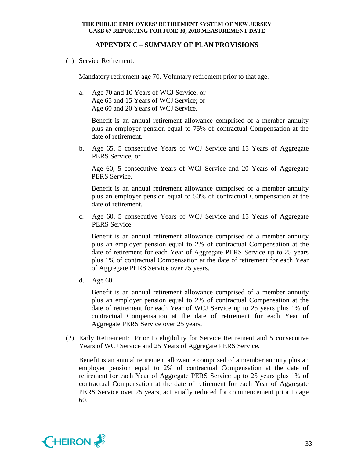# **APPENDIX C – SUMMARY OF PLAN PROVISIONS**

(1) Service Retirement:

Mandatory retirement age 70. Voluntary retirement prior to that age.

a. Age 70 and 10 Years of WCJ Service; or Age 65 and 15 Years of WCJ Service; or Age 60 and 20 Years of WCJ Service.

Benefit is an annual retirement allowance comprised of a member annuity plus an employer pension equal to 75% of contractual Compensation at the date of retirement.

b. Age 65, 5 consecutive Years of WCJ Service and 15 Years of Aggregate PERS Service; or

Age 60, 5 consecutive Years of WCJ Service and 20 Years of Aggregate PERS Service.

Benefit is an annual retirement allowance comprised of a member annuity plus an employer pension equal to 50% of contractual Compensation at the date of retirement.

c. Age 60, 5 consecutive Years of WCJ Service and 15 Years of Aggregate PERS Service.

Benefit is an annual retirement allowance comprised of a member annuity plus an employer pension equal to 2% of contractual Compensation at the date of retirement for each Year of Aggregate PERS Service up to 25 years plus 1% of contractual Compensation at the date of retirement for each Year of Aggregate PERS Service over 25 years.

d. Age 60.

Benefit is an annual retirement allowance comprised of a member annuity plus an employer pension equal to 2% of contractual Compensation at the date of retirement for each Year of WCJ Service up to 25 years plus 1% of contractual Compensation at the date of retirement for each Year of Aggregate PERS Service over 25 years.

(2) Early Retirement: Prior to eligibility for Service Retirement and 5 consecutive Years of WCJ Service and 25 Years of Aggregate PERS Service.

Benefit is an annual retirement allowance comprised of a member annuity plus an employer pension equal to 2% of contractual Compensation at the date of retirement for each Year of Aggregate PERS Service up to 25 years plus 1% of contractual Compensation at the date of retirement for each Year of Aggregate PERS Service over 25 years, actuarially reduced for commencement prior to age 60.

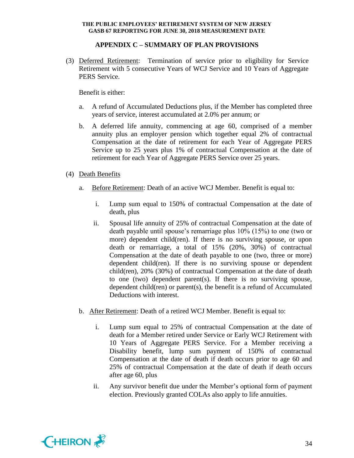# **APPENDIX C – SUMMARY OF PLAN PROVISIONS**

(3) Deferred Retirement: Termination of service prior to eligibility for Service Retirement with 5 consecutive Years of WCJ Service and 10 Years of Aggregate PERS Service.

Benefit is either:

- a. A refund of Accumulated Deductions plus, if the Member has completed three years of service, interest accumulated at 2.0% per annum; or
- b. A deferred life annuity, commencing at age 60, comprised of a member annuity plus an employer pension which together equal 2% of contractual Compensation at the date of retirement for each Year of Aggregate PERS Service up to 25 years plus 1% of contractual Compensation at the date of retirement for each Year of Aggregate PERS Service over 25 years.
- (4) Death Benefits
	- a. Before Retirement: Death of an active WCJ Member. Benefit is equal to:
		- i. Lump sum equal to 150% of contractual Compensation at the date of death, plus
		- ii. Spousal life annuity of 25% of contractual Compensation at the date of death payable until spouse's remarriage plus 10% (15%) to one (two or more) dependent child(ren). If there is no surviving spouse, or upon death or remarriage, a total of 15% (20%, 30%) of contractual Compensation at the date of death payable to one (two, three or more) dependent child(ren). If there is no surviving spouse or dependent child(ren), 20% (30%) of contractual Compensation at the date of death to one (two) dependent parent(s). If there is no surviving spouse, dependent child(ren) or parent(s), the benefit is a refund of Accumulated Deductions with interest.
	- b. After Retirement: Death of a retired WCJ Member. Benefit is equal to:
		- i. Lump sum equal to 25% of contractual Compensation at the date of death for a Member retired under Service or Early WCJ Retirement with 10 Years of Aggregate PERS Service. For a Member receiving a Disability benefit, lump sum payment of 150% of contractual Compensation at the date of death if death occurs prior to age 60 and 25% of contractual Compensation at the date of death if death occurs after age 60, plus
		- ii. Any survivor benefit due under the Member's optional form of payment election. Previously granted COLAs also apply to life annuities.

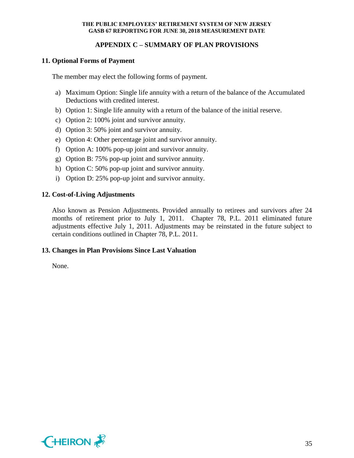# **APPENDIX C – SUMMARY OF PLAN PROVISIONS**

# **11. Optional Forms of Payment**

The member may elect the following forms of payment.

- a) Maximum Option: Single life annuity with a return of the balance of the Accumulated Deductions with credited interest.
- b) Option 1: Single life annuity with a return of the balance of the initial reserve.
- c) Option 2: 100% joint and survivor annuity.
- d) Option 3: 50% joint and survivor annuity.
- e) Option 4: Other percentage joint and survivor annuity.
- f) Option A: 100% pop-up joint and survivor annuity.
- g) Option B: 75% pop-up joint and survivor annuity.
- h) Option C: 50% pop-up joint and survivor annuity.
- i) Option D: 25% pop-up joint and survivor annuity.

## **12. Cost-of-Living Adjustments**

Also known as Pension Adjustments. Provided annually to retirees and survivors after 24 months of retirement prior to July 1, 2011. Chapter 78, P.L. 2011 eliminated future adjustments effective July 1, 2011. Adjustments may be reinstated in the future subject to certain conditions outlined in Chapter 78, P.L. 2011.

## **13. Changes in Plan Provisions Since Last Valuation**

None.

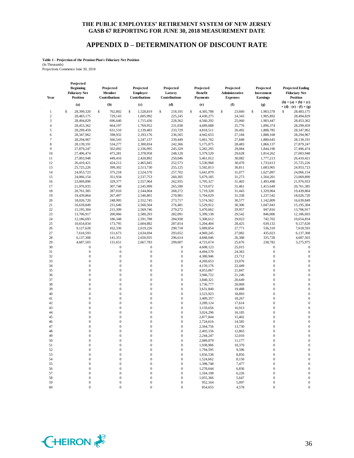### **APPENDIX D – DETERMINATION OF DISCOUNT RATE**

#### **Table 1 - Projection of the Pension Plan's Fiduciary Net Position** (In Thousands)

Projections Commence June 30, 2018

| Year           | Projected<br><b>Beginning</b><br><b>Fiduciary Net</b><br><b>Position</b> | Projected<br>Member<br>Contributions | Projected<br><b>Employer</b><br>Contributions | Projected<br>Lottery<br>Contributions | Projected<br><b>Benefit</b><br><b>Payments</b> | Projected<br>Administrative<br><b>Expenses</b> | Projected<br>Investment<br><b>Earnings</b> | <b>Projected Ending</b><br><b>Fiduciary Net</b><br><b>Position</b> |
|----------------|--------------------------------------------------------------------------|--------------------------------------|-----------------------------------------------|---------------------------------------|------------------------------------------------|------------------------------------------------|--------------------------------------------|--------------------------------------------------------------------|
|                | (a)                                                                      | (b)                                  | (c)                                           | (d)                                   | (e)                                            | (f)                                            | (g)                                        | $(h) = (a) + (b) + (c)$<br>$+ (d) - (e) - (f) + (g)$               |
| 1              | \$<br>28,399,320                                                         | \$<br>762,802                        | S<br>1,528,819                                | \$<br>218,105                         | \$<br>4,305,788                                | \$<br>23,660                                   | \$<br>1,903,578                            | 28,483,175<br>S                                                    |
| $\overline{2}$ | 28,483,175                                                               | 729.143                              | 1,605,992                                     | 225,245                               | 4,430,275                                      | 24,343                                         | 1,905,892                                  | 28,494,829                                                         |
| 3              | 28,494,829                                                               | 696,640                              | 1,715,436                                     | 228,362                               | 4,560,292                                      | 25,060                                         | 1,903,447                                  | 28,453,362                                                         |
| $\overline{4}$ | 28,453,362                                                               | 664,197                              | 1,769,952                                     | 231,038                               | 4,689,688                                      | 25,776                                         | 1,896,374                                  | 28,299,459                                                         |
| 5              | 28,299,459                                                               | 631,510                              | 2,139,483                                     | 233,729                               | 4,818,511                                      | 26,492                                         | 1,888,785                                  | 28,347,962                                                         |
| 6              | 28,347,962                                                               | 598,932                              | 2,193,176                                     | 236,565                               | 4,942,653                                      | 27,184                                         | 1,888,168                                  | 28,294,967                                                         |
| $\overline{7}$ | 28,294,967                                                               | 566,543                              | 2,247,137                                     | 239,449                               | 5,061,702                                      | 27,848                                         | 1,880,645                                  | 28,139,191                                                         |
| 8              | 28,139,191                                                               | 534,277                              | 2,300,834                                     | 242,366                               | 5,175,075                                      | 28,483                                         | 1,866,137                                  | 27,879,247                                                         |
| 9              | 27,879,247                                                               | 502,092                              | 2,336,995                                     | 245,329                               | 5,282,295                                      | 29,084                                         | 1,844,190                                  | 27,496,474                                                         |
| 10             | 27,496,474                                                               | 475,281                              | 2,378,958                                     | 248,120                               | 5,379,520                                      | 29,628                                         | 1,814,262                                  | 27,003,948                                                         |
| 11<br>12       | 27,003,948                                                               | 449,416<br>424,212                   | 2,420,892                                     | 250,046<br>252,573                    | 5,461,012                                      | 30,082<br>30,470                               | 1,777,213<br>1,733,613                     | 26,410,421<br>25,725,226                                           |
| 13             | 26,410,421<br>25,725,226                                                 | 399,302                              | 2,465,845<br>2,513,730                        | 255,125                               | 5,530,968<br>5,592,813                         | 30,811                                         | 1,683,965                                  | 24,953,723                                                         |
| 14             | 24,953,723                                                               | 375,218                              | 2,524,570                                     | 257,702                               | 5,641,879                                      | 31,077                                         | 1,627,897                                  | 24,066,154                                                         |
| 15             | 24,066,154                                                               | 351,934                              | 2,537,753                                     | 260,305                               | 5,679,185                                      | 31,273                                         | 1,564,201                                  | 23,069,890                                                         |
| 16             | 23,069,890                                                               | 329,377                              | 2,557,964                                     | 262,935                               | 5,705,327                                      | 31,403                                         | 1,493,498                                  | 21,976,933                                                         |
| 17             | 21,976,933                                                               | 307,748                              | 2,545,999                                     | 265,590                               | 5,719,072                                      | 31,461                                         | 1,415,649                                  | 20,761,385                                                         |
| 18             | 20,761,385                                                               | 287,010                              | 2,544,004                                     | 268,272                               | 5,719,328                                      | 31,443                                         | 1,329,964                                  | 19,439,864                                                         |
| 19             | 19,439,864                                                               | 267,497                              | 2,546,801                                     | 270,981                               | 5,704,629                                      | 31,338                                         | 1,237,542                                  | 18,026,720                                                         |
| 20             | 18,026,720                                                               | 248,995                              | 2,552,745                                     | 273,717                               | 5,574,562                                      | 30,577                                         | 1,142,809                                  | 16,639,849                                                         |
| 21             | 16,639,849                                                               | 231,646                              | 2,560,504                                     | 276,481                               | 5,529,912                                      | 30,306                                         | 1,047,043                                  | 15,195,304                                                         |
| 22             | 15,195,304                                                               | 215,399                              | 2,569,746                                     | 279,272                               | 5,470,662                                      | 29,957                                         | 947,816                                    | 13,706,917                                                         |
| 23             | 13,706,917                                                               | 200,066                              | 2,580,293                                     | 282,091                               | 5,399,138                                      | 29,542                                         | 846,006                                    | 12,186,693                                                         |
| 24             | 12,186,693                                                               | 186,348                              | 2,591,788                                     | 284,938                               | 5,308,612                                      | 29,023                                         | 742,702                                    | 10,654,834                                                         |
| 25             | 10,654,834                                                               | 173,795                              | 2,604,882                                     | 287,814                               | 5,204,404                                      | 28,425                                         | 639,132                                    | 9,127,628                                                          |
| 26             | 9,127,628                                                                | 162,336                              | 2,619,226                                     | 290,718                               | 5,089,854                                      | 27,771                                         | 536,310                                    | 7,618,593                                                          |
| 27             | 7,618,593                                                                | 151,673                              | 2,634,694                                     | 293,652                               | 4,969,245                                      | 27,082                                         | 435,023                                    | 6,137,308                                                          |
| 28             | 6,137,308                                                                | 141,351                              | 2,650,935                                     | 296,614                               | 4,848,046                                      | 26,388                                         | 335,728                                    | 4,687,503                                                          |
| 29             | 4,687,503                                                                | 131,651                              | 2,667,783                                     | 299,607                               | 4,723,674                                      | 25,676                                         | 238,782                                    | 3,275,975                                                          |
| 30             | 0                                                                        | $\mathbf{0}$                         | $\boldsymbol{0}$                              | $\mathbf{0}$                          | 4,608,123                                      | 25,015                                         | $\boldsymbol{0}$                           | $\boldsymbol{0}$                                                   |
| 31             | 0                                                                        | $\boldsymbol{0}$                     | $\mathbf{0}$                                  | $\boldsymbol{0}$                      | 4,494,570                                      | 24,363                                         | $\boldsymbol{0}$                           | $\boldsymbol{0}$                                                   |
| 32             | $\mathbf{0}$                                                             | $\boldsymbol{0}$                     | $\mathbf{0}$                                  | $\boldsymbol{0}$                      | 4,380,946                                      | 23,712                                         | $\boldsymbol{0}$                           | $\boldsymbol{0}$                                                   |
| 33<br>34       | $\overline{0}$<br>$\overline{0}$                                         | $\overline{0}$<br>$\boldsymbol{0}$   | $\mathbf{0}$<br>$\mathbf{0}$                  | $\mathbf{0}$<br>$\boldsymbol{0}$      | 4,269,653                                      | 23,076<br>22,449                               | $\boldsymbol{0}$<br>$\mathbf{0}$           | $\mathbf{0}$<br>$\mathbf{0}$                                       |
| 35             | $\overline{0}$                                                           | $\overline{0}$                       | $\mathbf{0}$                                  | $\mathbf{0}$                          | 4,159,176<br>4,053,067                         | 21,847                                         | $\boldsymbol{0}$                           | $\mathbf{0}$                                                       |
| 36             | $\overline{0}$                                                           | $\overline{0}$                       | $\mathbf{0}$                                  | $\mathbf{0}$                          | 3,946,722                                      | 21,246                                         | $\boldsymbol{0}$                           | $\mathbf{0}$                                                       |
| 37             | $\overline{0}$                                                           | $\boldsymbol{0}$                     | $\mathbf{0}$                                  | $\mathbf{0}$                          | 3,840,321                                      | 20,649                                         | $\mathbf{0}$                               | $\mathbf{0}$                                                       |
| 38             | $\boldsymbol{0}$                                                         | $\overline{0}$                       | $\mathbf{0}$                                  | $\mathbf{0}$                          | 3,736,777                                      | 20,069                                         | $\boldsymbol{0}$                           | $\mathbf{0}$                                                       |
| 39             | $\boldsymbol{0}$                                                         | $\overline{0}$                       | $\mathbf{0}$                                  | $\boldsymbol{0}$                      | 3,631,840                                      | 19,488                                         | $\boldsymbol{0}$                           | $\mathbf{0}$                                                       |
| 40             | $\overline{0}$                                                           | $\boldsymbol{0}$                     | $\mathbf{0}$                                  | $\mathbf{0}$                          | 3,523,923                                      | 18,893                                         | $\mathbf{0}$                               | $\boldsymbol{0}$                                                   |
| 41             | $\overline{0}$                                                           | $\overline{0}$                       | $\mathbf{0}$                                  | $\mathbf{0}$                          | 3,409,357                                      | 18,267                                         | $\boldsymbol{0}$                           | $\mathbf{0}$                                                       |
| 42             | $\boldsymbol{0}$                                                         | $\boldsymbol{0}$                     | $\mathbf{0}$                                  | $\boldsymbol{0}$                      | 3,289,124                                      | 17,614                                         | $\boldsymbol{0}$                           | $\mathbf{0}$                                                       |
| 43             | $\overline{0}$                                                           | $\mathbf 0$                          | $\mathbf{0}$                                  | $\mathbf{0}$                          | 3,159,656                                      | 16,913                                         | $\mathbf{0}$                               | $\mathbf{0}$                                                       |
| 44             | $\overline{0}$                                                           | $\overline{0}$                       | $\mathbf{0}$                                  | $\boldsymbol{0}$                      | 3,024,296                                      | 16,185                                         | $\boldsymbol{0}$                           | $\mathbf{0}$                                                       |
| 45             | $\boldsymbol{0}$                                                         | $\mathbf{0}$                         | $\mathbf{0}$                                  | $\mathbf{0}$                          | 2,877,844                                      | 15,402                                         | $\boldsymbol{0}$                           | $\mathbf{0}$                                                       |
| 46             | $\overline{0}$                                                           | $\overline{0}$                       | $\mathbf{0}$                                  | $\boldsymbol{0}$                      | 2,724,616                                      | 14,585                                         | $\mathbf{0}$                               | $\mathbf{0}$                                                       |
| 47             | $\overline{0}$                                                           | $\mathbf{0}$                         | $\mathbf{0}$                                  | $\mathbf{0}$                          | 2,564,756                                      | 13,730                                         | $\boldsymbol{0}$                           | $\mathbf{0}$                                                       |
| 48             | $\overline{0}$                                                           | $\overline{0}$                       | $\boldsymbol{0}$                              | $\mathbf{0}$                          | 2,403,156                                      | 12,863                                         | $\mathbf{0}$                               | $\boldsymbol{0}$                                                   |
| 49             | $\overline{0}$                                                           | $\overline{0}$                       | $\overline{0}$                                | $\overline{0}$                        | 2,244,247                                      | 12,010                                         | $\mathbf{0}$                               | $\boldsymbol{0}$                                                   |
| 50             |                                                                          |                                      |                                               | 0                                     | 2,089,079                                      | 11,177                                         |                                            |                                                                    |
| 51             | 0                                                                        | $\boldsymbol{0}$                     | $\mathbf{0}$                                  | $\boldsymbol{0}$                      | 1,938,906                                      | 10,370                                         | $\mathbf{0}$                               | $\theta$                                                           |
| 52             | 0                                                                        | $\boldsymbol{0}$                     | $\mathbf{0}$                                  | $\boldsymbol{0}$                      | 1,794,595                                      | 9,596                                          | $\boldsymbol{0}$                           | $\theta$                                                           |
| 53             | $\mathbf{0}$                                                             | 0                                    | $\boldsymbol{0}$                              | $\boldsymbol{0}$                      | 1,656,538                                      | 8,856                                          | $\boldsymbol{0}$                           | $\theta$                                                           |
| 54             | 0                                                                        | $\mathbf{0}$                         | $\mathbf{0}$                                  | $\boldsymbol{0}$                      | 1,524,662                                      | 8,150                                          | $\mathbf{0}$                               | $\theta$                                                           |
| 55             | $\mathbf{0}$                                                             | 0                                    | $\boldsymbol{0}$                              | $\boldsymbol{0}$                      | 1,398,748                                      | 7,477                                          | $\boldsymbol{0}$                           | $\theta$<br>$\mathbf{0}$                                           |
| 56             | 0<br>$\mathbf{0}$                                                        | 0<br>$\boldsymbol{0}$                | $\mathbf{0}$                                  | $\boldsymbol{0}$<br>$\boldsymbol{0}$  | 1,278,644                                      | 6,836                                          | $\mathbf{0}$                               | $\boldsymbol{0}$                                                   |
| 57<br>58       | 0                                                                        | $\boldsymbol{0}$                     | $\mathbf{0}$<br>$\boldsymbol{0}$              | $\boldsymbol{0}$                      | 1,164,198<br>1,055,366                         | 6,226<br>5,647                                 | $\mathbf{0}$<br>$\boldsymbol{0}$           | $\boldsymbol{0}$                                                   |
| 59             | $\boldsymbol{0}$                                                         | $\boldsymbol{0}$                     | $\boldsymbol{0}$                              | $\boldsymbol{0}$                      | 952,164                                        | 5,097                                          | $\boldsymbol{0}$                           | $\boldsymbol{0}$                                                   |
| 60             | $\overline{0}$                                                           | $\boldsymbol{0}$                     | $\boldsymbol{0}$                              | $\boldsymbol{0}$                      | 854,655                                        | 4,578                                          | $\boldsymbol{0}$                           | $\boldsymbol{0}$                                                   |
|                |                                                                          |                                      |                                               |                                       |                                                |                                                |                                            |                                                                    |

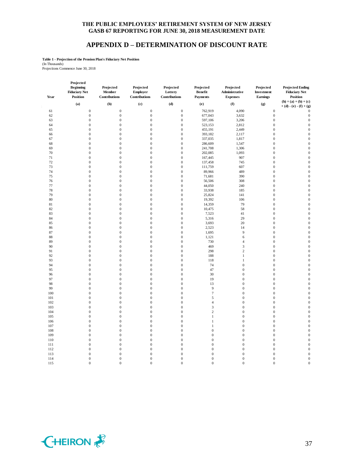## **APPENDIX D – DETERMINATION OF DISCOUNT RATE**

**Table 1 - Projection of the Pension Plan's Fiduciary Net Position**

(In Thousands) Projections Commence June 30, 2018

| Year | Projected<br><b>Beginning</b><br><b>Fiduciary Net</b><br><b>Position</b> | Projected<br>Member<br>Contributions | Projected<br>Employer<br>Contributions | Projected<br>Lottery<br>Contributions | Projected<br><b>Benefit</b><br><b>Payments</b> | Projected<br>Administrative<br><b>Expenses</b> | Projected<br>Investment<br>Earnings | <b>Projected Ending</b><br><b>Fiduciary Net</b><br><b>Position</b> |
|------|--------------------------------------------------------------------------|--------------------------------------|----------------------------------------|---------------------------------------|------------------------------------------------|------------------------------------------------|-------------------------------------|--------------------------------------------------------------------|
|      | (a)                                                                      | (b)                                  | (c)                                    | (d)                                   | (e)                                            | (f)                                            | (g)                                 | $(h) = (a) + (b) + (c)$<br>$+ (d) - (e) - (f) + (g)$               |
| 61   | $\boldsymbol{0}$                                                         | $\mathbf{0}$                         | $\mathbf{0}$                           | $\boldsymbol{0}$                      | 762,919                                        | 4,090                                          | $\mathbf{0}$                        | $\theta$                                                           |
| 62   | $\boldsymbol{0}$                                                         | $\boldsymbol{0}$                     | $\mathbf{0}$                           | $\boldsymbol{0}$                      | 677,043                                        | 3,632                                          | $\mathbf{0}$                        | $\boldsymbol{0}$                                                   |
| 63   | $\boldsymbol{0}$                                                         | $\boldsymbol{0}$                     | $\mathbf{0}$                           | $\boldsymbol{0}$                      | 597,106                                        | 3,206                                          | $\mathbf{0}$                        | $\boldsymbol{0}$                                                   |
| 64   | $\boldsymbol{0}$                                                         | $\boldsymbol{0}$                     | $\mathbf{0}$                           | $\boldsymbol{0}$                      | 523,153                                        | 2,812                                          | $\boldsymbol{0}$                    | $\mathbf{0}$                                                       |
| 65   | $\boldsymbol{0}$                                                         | $\boldsymbol{0}$                     | $\mathbf{0}$                           | $\boldsymbol{0}$                      | 455,191                                        | 2,449                                          | $\mathbf{0}$                        | $\mathbf{0}$                                                       |
| 66   | $\boldsymbol{0}$                                                         | $\overline{0}$                       | $\mathbf{0}$                           | $\boldsymbol{0}$                      | 393,182                                        | 2,117                                          | $\boldsymbol{0}$                    | $\mathbf{0}$                                                       |
| 67   | $\boldsymbol{0}$                                                         | $\boldsymbol{0}$                     | $\mathbf{0}$                           | $\boldsymbol{0}$                      | 337,035                                        | 1,817                                          | $\boldsymbol{0}$                    | $\mathbf{0}$                                                       |
| 68   | $\boldsymbol{0}$                                                         | $\boldsymbol{0}$                     | $\boldsymbol{0}$                       | $\boldsymbol{0}$                      | 286,609                                        | 1,547                                          | $\boldsymbol{0}$                    | $\mathbf{0}$                                                       |
| 69   | $\boldsymbol{0}$                                                         | $\boldsymbol{0}$                     | $\boldsymbol{0}$                       | $\boldsymbol{0}$                      | 241,708                                        | 1,306                                          | $\boldsymbol{0}$                    | $\boldsymbol{0}$                                                   |
| 70   | $\overline{0}$                                                           | $\overline{0}$                       | $\boldsymbol{0}$                       | $\boldsymbol{0}$                      | 202,085                                        | 1,093                                          | $\boldsymbol{0}$                    | $\boldsymbol{0}$                                                   |
| 71   | $\overline{0}$                                                           | $\overline{0}$                       | $\mathbf{0}$                           | $\mathbf{0}$                          | 167,445                                        | 907                                            | $\mathbf{0}$                        | $\mathbf{0}$                                                       |
| 72   | $\overline{0}$                                                           | $\mathbf{0}$                         | $\overline{0}$                         | $\mathbf{0}$                          | 137,458                                        | 745                                            | $\mathbf{0}$                        | $\mathbf{0}$                                                       |
| 73   | $\overline{0}$                                                           | $\overline{0}$                       | $\mathbf{0}$                           | $\mathbf{0}$                          | 111,759                                        | 607                                            | $\overline{0}$                      | $\mathbf{0}$                                                       |
| 74   | $\boldsymbol{0}$                                                         | $\boldsymbol{0}$                     | $\boldsymbol{0}$                       | $\boldsymbol{0}$                      | 89,966                                         | 489                                            | $\boldsymbol{0}$                    | $\mathbf{0}$                                                       |
| 75   | $\boldsymbol{0}$                                                         | $\mathbf 0$                          | $\boldsymbol{0}$                       | $\boldsymbol{0}$                      | 71,681                                         | 390                                            | $\boldsymbol{0}$                    | $\mathbf{0}$                                                       |
| 76   | $\boldsymbol{0}$                                                         | $\boldsymbol{0}$                     | $\mathbf{0}$                           | $\boldsymbol{0}$                      | 56,506                                         | 308                                            | $\boldsymbol{0}$                    | $\boldsymbol{0}$                                                   |
| 77   | $\boldsymbol{0}$                                                         | $\boldsymbol{0}$                     | $\mathbf{0}$                           | $\boldsymbol{0}$                      | 44,050                                         | 240                                            | $\boldsymbol{0}$                    | $\mathbf{0}$                                                       |
| 78   | $\boldsymbol{0}$                                                         | $\boldsymbol{0}$                     | $\boldsymbol{0}$                       | $\boldsymbol{0}$                      | 33,938                                         | 185                                            | $\boldsymbol{0}$                    | $\mathbf{0}$                                                       |
| 79   | $\boldsymbol{0}$                                                         | $\boldsymbol{0}$                     | $\boldsymbol{0}$                       | $\boldsymbol{0}$                      | 25,824                                         | 141                                            | $\boldsymbol{0}$                    | $\mathbf{0}$                                                       |
| 80   | $\boldsymbol{0}$                                                         | $\boldsymbol{0}$                     | $\mathbf{0}$                           | $\boldsymbol{0}$                      | 19,392                                         | 106                                            | $\boldsymbol{0}$                    | $\boldsymbol{0}$                                                   |
| 81   | $\boldsymbol{0}$                                                         | $\boldsymbol{0}$                     | $\mathbf{0}$                           | $\boldsymbol{0}$                      | 14,359                                         | 79                                             | $\boldsymbol{0}$                    | $\boldsymbol{0}$                                                   |
| 82   | $\boldsymbol{0}$                                                         | $\boldsymbol{0}$                     | $\mathbf{0}$                           | $\boldsymbol{0}$                      | 10,475                                         | 58                                             | $\boldsymbol{0}$                    | $\boldsymbol{0}$                                                   |
| 83   | $\boldsymbol{0}$                                                         | $\boldsymbol{0}$                     | $\mathbf{0}$                           | $\boldsymbol{0}$                      | 7,523                                          | 41                                             | $\mathbf{0}$                        | $\overline{0}$                                                     |
| 84   | $\boldsymbol{0}$                                                         | $\mathbf 0$                          | $\boldsymbol{0}$                       | $\boldsymbol{0}$                      | 5,316                                          | 29                                             | $\boldsymbol{0}$                    | $\mathbf{0}$                                                       |
| 85   | $\boldsymbol{0}$                                                         | $\boldsymbol{0}$                     | $\mathbf{0}$                           | $\boldsymbol{0}$                      | 3,693                                          | 20                                             | $\boldsymbol{0}$                    | $\boldsymbol{0}$                                                   |
| 86   | $\boldsymbol{0}$                                                         | $\boldsymbol{0}$                     | $\mathbf{0}$                           | $\boldsymbol{0}$                      | 2,523                                          | 14                                             | $\boldsymbol{0}$                    | $\overline{0}$                                                     |
| 87   | $\boldsymbol{0}$                                                         | $\boldsymbol{0}$                     | $\mathbf{0}$                           | $\boldsymbol{0}$                      | 1,695                                          | 9                                              | $\boldsymbol{0}$                    | $\mathbf{0}$                                                       |
| 88   | $\boldsymbol{0}$                                                         | $\boldsymbol{0}$                     | $\mathbf{0}$                           | $\boldsymbol{0}$                      | 1,121                                          | 6                                              | $\boldsymbol{0}$                    | $\mathbf{0}$                                                       |
| 89   | $\boldsymbol{0}$                                                         | $\boldsymbol{0}$                     | $\mathbf{0}$                           | $\boldsymbol{0}$                      | 730                                            | $\overline{4}$                                 | $\mathbf{0}$                        | $\mathbf{0}$                                                       |
| 90   | $\boldsymbol{0}$                                                         | $\boldsymbol{0}$                     | $\mathbf{0}$                           | $\boldsymbol{0}$                      | 469                                            | $\mathfrak{Z}$                                 | $\boldsymbol{0}$                    | $\mathbf{0}$                                                       |
| 91   | $\boldsymbol{0}$                                                         | $\boldsymbol{0}$                     | $\mathbf{0}$                           | $\boldsymbol{0}$                      | 298                                            | $\sqrt{2}$                                     | $\boldsymbol{0}$                    | $\mathbf{0}$                                                       |
| 92   | $\overline{0}$                                                           | $\boldsymbol{0}$                     | $\mathbf{0}$                           | $\boldsymbol{0}$                      | 188                                            | $\mathbf{1}$                                   | $\mathbf{0}$                        | $\mathbf{0}$                                                       |
| 93   | $\overline{0}$                                                           | $\boldsymbol{0}$                     | $\mathbf{0}$                           | $\boldsymbol{0}$                      | 118                                            | $\mathbf{1}$                                   | $\boldsymbol{0}$                    | $\boldsymbol{0}$                                                   |
| 94   | $\boldsymbol{0}$                                                         | $\boldsymbol{0}$                     | $\mathbf{0}$                           | $\boldsymbol{0}$                      | 74                                             | $\boldsymbol{0}$                               | $\boldsymbol{0}$                    | $\boldsymbol{0}$                                                   |
| 95   | $\boldsymbol{0}$                                                         | $\boldsymbol{0}$                     | $\mathbf{0}$                           | $\boldsymbol{0}$                      | 47                                             | $\boldsymbol{0}$                               | $\boldsymbol{0}$                    | $\overline{0}$                                                     |
| 96   | $\boldsymbol{0}$                                                         | $\boldsymbol{0}$                     | $\boldsymbol{0}$                       | $\boldsymbol{0}$                      | 30                                             | $\boldsymbol{0}$                               | $\boldsymbol{0}$                    | $\mathbf{0}$                                                       |
| 97   | $\boldsymbol{0}$                                                         | $\boldsymbol{0}$                     | $\boldsymbol{0}$                       | $\boldsymbol{0}$                      | 19                                             | $\boldsymbol{0}$                               | $\boldsymbol{0}$                    | $\mathbf{0}$                                                       |
| 98   | $\boldsymbol{0}$                                                         | $\boldsymbol{0}$                     | $\boldsymbol{0}$                       | $\boldsymbol{0}$                      | 13                                             | $\boldsymbol{0}$                               | $\boldsymbol{0}$                    | $\boldsymbol{0}$                                                   |
| 99   | $\boldsymbol{0}$                                                         | $\boldsymbol{0}$                     | $\boldsymbol{0}$                       | $\boldsymbol{0}$                      | $\overline{9}$                                 | $\boldsymbol{0}$                               | $\boldsymbol{0}$                    | $\boldsymbol{0}$                                                   |
| 100  | $\boldsymbol{0}$                                                         | $\boldsymbol{0}$                     | $\mathbf{0}$                           | $\boldsymbol{0}$                      | $\overline{7}$                                 | $\boldsymbol{0}$                               | $\boldsymbol{0}$                    | $\mathbf{0}$                                                       |
| 101  | $\overline{0}$                                                           | $\boldsymbol{0}$                     | $\mathbf{0}$                           | $\boldsymbol{0}$                      | 5                                              | $\boldsymbol{0}$                               | $\boldsymbol{0}$                    | $\mathbf{0}$                                                       |
| 102  | $\overline{0}$                                                           | $\mathbf 0$                          | $\mathbf{0}$                           | $\boldsymbol{0}$                      | $\overline{4}$                                 | $\boldsymbol{0}$                               | $\boldsymbol{0}$                    | $\mathbf{0}$                                                       |
| 103  | $\mathbf{0}$                                                             | $\boldsymbol{0}$                     | $\mathbf{0}$                           | $\boldsymbol{0}$                      | 3                                              | $\boldsymbol{0}$                               | $\boldsymbol{0}$                    | $\mathbf{0}$                                                       |
| 104  | $\overline{0}$                                                           | $\boldsymbol{0}$                     | $\mathbf{0}$                           | $\boldsymbol{0}$                      | $\overline{c}$                                 | $\boldsymbol{0}$                               | $\mathbf{0}$                        | $\mathbf{0}$                                                       |
| 105  | 0                                                                        | $\boldsymbol{0}$                     | $\boldsymbol{0}$                       | $\boldsymbol{0}$                      | $\mathbf{1}$                                   | $\boldsymbol{0}$                               | $\boldsymbol{0}$                    | $\mathbf{0}$                                                       |
| 106  | $\boldsymbol{0}$                                                         | $\mathbf 0$                          | $\mathbf{0}$                           | $\boldsymbol{0}$                      | $\mathbf{1}$                                   | $\boldsymbol{0}$                               | $\boldsymbol{0}$                    | $\mathbf{0}$                                                       |
| 107  | $\boldsymbol{0}$                                                         | $\boldsymbol{0}$                     | $\mathbf{0}$                           | $\mathbf{0}$                          | $\mathbf{1}$                                   | $\boldsymbol{0}$                               | $\boldsymbol{0}$                    | $\mathbf{0}$                                                       |
| 108  | $\boldsymbol{0}$                                                         | $\boldsymbol{0}$                     | $\boldsymbol{0}$                       | $\boldsymbol{0}$                      | $\boldsymbol{0}$                               | $\boldsymbol{0}$                               | $\boldsymbol{0}$                    | $\overline{0}$                                                     |
| 109  | $\boldsymbol{0}$                                                         | $\boldsymbol{0}$                     | $\mathbf{0}$                           | $\boldsymbol{0}$                      | $\mathbf 0$                                    | $\boldsymbol{0}$                               | $\boldsymbol{0}$                    | $\overline{0}$                                                     |
| 110  | $\boldsymbol{0}$                                                         | $\boldsymbol{0}$                     | $\boldsymbol{0}$                       | $\boldsymbol{0}$                      | $\boldsymbol{0}$                               | $\boldsymbol{0}$                               | $\boldsymbol{0}$                    | $\mathbf{0}$                                                       |
| 111  | $\boldsymbol{0}$                                                         | $\boldsymbol{0}$                     | $\boldsymbol{0}$                       | $\boldsymbol{0}$                      | $\mathbf{0}$                                   | $\boldsymbol{0}$                               | $\boldsymbol{0}$                    | $\boldsymbol{0}$                                                   |
| 112  | $\boldsymbol{0}$                                                         | $\boldsymbol{0}$                     | $\boldsymbol{0}$                       | $\boldsymbol{0}$                      | $\boldsymbol{0}$                               | $\boldsymbol{0}$                               | $\boldsymbol{0}$                    | $\boldsymbol{0}$                                                   |
| 113  | $\overline{0}$                                                           | $\boldsymbol{0}$                     | $\boldsymbol{0}$                       | $\boldsymbol{0}$                      | $\mathbf{0}$                                   | $\boldsymbol{0}$                               | $\boldsymbol{0}$                    | $\boldsymbol{0}$                                                   |
| 114  | $\overline{0}$                                                           | $\overline{0}$                       | $\mathbf{0}$                           | $\mathbf{0}$                          | $\mathbf{0}$                                   | $\mathbf{0}$                                   | $\overline{0}$                      | $\overline{0}$                                                     |
| 115  | $\Omega$                                                                 | $\theta$                             | $\theta$                               | $\theta$                              | $\Omega$                                       | $\theta$                                       | $\Omega$                            | $\overline{0}$                                                     |
|      |                                                                          |                                      |                                        |                                       |                                                |                                                |                                     |                                                                    |

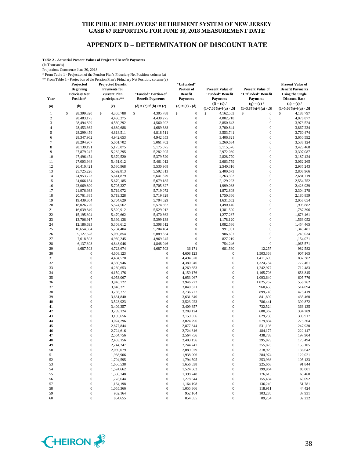#### **APPENDIX D – DETERMINATION OF DISCOUNT RATE**

**Table 2 - Actuarial Present Values of Projected Benefit Payments**

(In Thousands)

Projections Commence June 30, 2018

\* From Table 1 - Projection of the Pension Plan's Fiduciary Net Position, column (a) \*\* From Table 1 - Projection of the Pension Plan's Fiduciary Net Position, column (e)

**Projected Projected Benefit** 

|                  | Projected<br><b>Beginning</b><br><b>Fiduciary Net</b><br>Position* | <b>Projected Benefit</b><br><b>Payments</b> for<br>current Plan | Then Table 1 - Frojection of the Fension Francs Francially INCET osttron, column (c)<br>"Funded" Portion of | "Unfunded"<br>Portion of<br><b>Benefit</b> | <b>Present Value of</b><br>"Funded" Benefit<br><b>Payments</b> | <b>Present Value of</b><br>"Unfunded" Benefit                            | <b>Present Value of</b><br><b>Benefit Payments</b><br><b>Using the Single</b> |
|------------------|--------------------------------------------------------------------|-----------------------------------------------------------------|-------------------------------------------------------------------------------------------------------------|--------------------------------------------|----------------------------------------------------------------|--------------------------------------------------------------------------|-------------------------------------------------------------------------------|
| Year<br>(a)      | (b)                                                                | participants**<br>(c)                                           | <b>Benefit Payments</b><br>(d) = (c) if (b) >= (c)                                                          | <b>Payments</b><br>$(e) = (c) - (d)$       | $(f) = (d) /$<br>$(1+7.00\%)$ <sup>^</sup> [(a) - .5]          | <b>Payments</b><br>$(g) = (e) /$<br>$(1+3.87\%)$ <sup>^</sup> [(a) - .5] | <b>Discount Rate</b><br>$(h) = (c) /$<br>$(1+5.66\%)$ <sup>^</sup> [(a) - .5] |
| 1                | \$<br>28,399,320                                                   | \$<br>4,305,788                                                 | \$<br>4,305,788                                                                                             | \$<br>$\boldsymbol{0}$                     | \$<br>4,162,563                                                | \$<br>0                                                                  | \$<br>4,188,797                                                               |
| $\boldsymbol{2}$ | 28,483,175                                                         | 4,430,275                                                       | 4,430,275                                                                                                   | $\boldsymbol{0}$                           | 4,002,718                                                      | $\boldsymbol{0}$                                                         | 4,078,877                                                                     |
| 3                | 28,494,829                                                         | 4,560,292                                                       | 4,560,292                                                                                                   | $\boldsymbol{0}$                           | 3,850,643                                                      | $\boldsymbol{0}$                                                         | 3,973,524                                                                     |
| 4                | 28,453,362                                                         | 4,689,688                                                       | 4,689,688                                                                                                   | $\boldsymbol{0}$                           | 3,700,844                                                      | $\boldsymbol{0}$                                                         | 3,867,234                                                                     |
| 5                | 28,299,459                                                         | 4,818,511                                                       | 4,818,511                                                                                                   | $\boldsymbol{0}$                           | 3,553,741                                                      | $\boldsymbol{0}$                                                         | 3,760,474                                                                     |
| 6                | 28,347,962                                                         | 4,942,653                                                       | 4,942,653                                                                                                   | $\boldsymbol{0}$                           | 3,406,821                                                      | $\boldsymbol{0}$                                                         | 3,650,592                                                                     |
| 7                | 28,294,967                                                         | 5,061,702                                                       | 5,061,702                                                                                                   | $\boldsymbol{0}$                           | 3,260,634                                                      | $\boldsymbol{0}$                                                         | 3,538,124                                                                     |
| 8                | 28,139,191                                                         | 5,175,075                                                       | 5,175,075                                                                                                   | $\boldsymbol{0}$                           | 3,115,576                                                      | $\boldsymbol{0}$                                                         | 3,423,468                                                                     |
| 9                | 27,879,247                                                         | 5,282,295                                                       | 5,282,295                                                                                                   | $\boldsymbol{0}$                           | 2,972,080                                                      | $\boldsymbol{0}$                                                         | 3,307,087                                                                     |
| 10               | 27,496,474                                                         | 5,379,520                                                       | 5,379,520                                                                                                   | $\boldsymbol{0}$                           | 2,828,770                                                      | $\boldsymbol{0}$                                                         | 3,187,424                                                                     |
| 11               | 27,003,948                                                         | 5,461,012                                                       | 5,461,012                                                                                                   | $\boldsymbol{0}$                           | 2,683,759                                                      | $\boldsymbol{0}$                                                         | 3,062,265                                                                     |
| 12               | 26,410,421                                                         | 5,530,968                                                       | 5,530,968                                                                                                   | $\boldsymbol{0}$                           | 2,540,316                                                      | $\boldsymbol{0}$                                                         | 2,935,243                                                                     |
| 13               | 25,725,226                                                         | 5,592,813                                                       | 5,592,813                                                                                                   | $\boldsymbol{0}$                           | 2,400,673                                                      | $\boldsymbol{0}$                                                         | 2,808,966                                                                     |
| 14               | 24,953,723                                                         | 5,641,879                                                       | 5,641,879                                                                                                   | $\boldsymbol{0}$                           | 2,263,303                                                      | $\boldsymbol{0}$                                                         | 2,681,719                                                                     |
| 15               | 24,066,154                                                         | 5,679,185                                                       | 5,679,185                                                                                                   | $\boldsymbol{0}$                           | 2,129,223                                                      | $\boldsymbol{0}$                                                         | 2,554,752                                                                     |
| 16               | 23,069,890                                                         | 5,705,327                                                       | 5,705,327                                                                                                   | $\boldsymbol{0}$                           | 1,999,088                                                      | $\mathbf 0$                                                              | 2,428,939                                                                     |
| 17               | 21,976,933                                                         | 5,719,072                                                       | 5,719,072                                                                                                   | $\boldsymbol{0}$                           | 1,872,808                                                      | $\boldsymbol{0}$                                                         | 2,304,278                                                                     |
| 18               | 20,761,385                                                         | 5,719,328                                                       | 5,719,328                                                                                                   | $\boldsymbol{0}$                           | 1,750,366                                                      | $\boldsymbol{0}$                                                         | 2,180,859                                                                     |
| 19               | 19,439,864                                                         | 5,704,629                                                       | 5,704,629                                                                                                   | $\boldsymbol{0}$                           | 1,631,652                                                      | $\boldsymbol{0}$                                                         | 2,058,654                                                                     |
| 20               | 18,026,720                                                         | 5,574,562                                                       | 5,574,562                                                                                                   | $\boldsymbol{0}$                           | 1,490,140                                                      | $\boldsymbol{0}$                                                         | 1,903,882                                                                     |
| 21               | 16,639,849                                                         | 5,529,912                                                       | 5,529,912                                                                                                   | $\boldsymbol{0}$                           | 1,381,500                                                      | $\boldsymbol{0}$                                                         | 1,787,396                                                                     |
| 22               | 15,195,304                                                         | 5,470,662                                                       | 5,470,662                                                                                                   | $\boldsymbol{0}$                           | 1,277,287                                                      | $\boldsymbol{0}$                                                         | 1,673,461                                                                     |
| 23               | 13,706,917                                                         | 5,399,138                                                       | 5,399,138                                                                                                   | $\boldsymbol{0}$                           | 1,178,120                                                      | $\boldsymbol{0}$                                                         | 1,563,052                                                                     |
| 24               | 12,186,693                                                         | 5,308,612                                                       | 5,308,612                                                                                                   | $\boldsymbol{0}$                           | 1,082,586                                                      | $\boldsymbol{0}$                                                         | 1,454,465                                                                     |
| 25               | 10,654,834                                                         | 5,204,404                                                       | 5,204,404                                                                                                   | $\boldsymbol{0}$                           | 991,901                                                        | $\boldsymbol{0}$                                                         | 1,349,481                                                                     |
| 26               | 9,127,628                                                          | 5,089,854                                                       | 5,089,854                                                                                                   | $\boldsymbol{0}$                           | 906,607                                                        | $\boldsymbol{0}$                                                         | 1,249,034                                                                     |
| 27               | 7,618,593                                                          | 4,969,245                                                       | 4,969,245                                                                                                   | $\boldsymbol{0}$                           | 827,219                                                        | $\boldsymbol{0}$                                                         | 1,154,071                                                                     |
| 28               | 6,137,308                                                          | 4,848,046                                                       | 4,848,046                                                                                                   | $\boldsymbol{0}$                           | 754,246                                                        | $\boldsymbol{0}$                                                         | 1,065,571                                                                     |
| 29               | 4,687,503                                                          | 4,723,674                                                       | 4,687,503                                                                                                   | 36,171                                     | 681,560                                                        | 12,257                                                                   | 982,582                                                                       |
| 30               | $\boldsymbol{0}$                                                   | 4,608,123                                                       | $\boldsymbol{0}$                                                                                            | 4,608,123                                  | $\boldsymbol{0}$                                               | 1,503,368                                                                | 907,165                                                                       |
| 31               | $\overline{0}$                                                     | 4,494,570                                                       | $\boldsymbol{0}$                                                                                            | 4,494,570                                  | $\boldsymbol{0}$                                               | 1,411,689                                                                | 837,382                                                                       |
| 32               | $\mathbf{0}$                                                       | 4,380,946                                                       | $\boldsymbol{0}$                                                                                            | 4,380,946                                  | $\boldsymbol{0}$                                               | 1,324,734                                                                | 772,461                                                                       |
| 33               | $\mathbf{0}$                                                       | 4,269,653                                                       | $\mathbf{0}$                                                                                                | 4,269,653                                  | $\boldsymbol{0}$                                               | 1,242,977                                                                | 712,483                                                                       |
| 34               | $\overline{0}$                                                     | 4,159,176                                                       | $\boldsymbol{0}$                                                                                            | 4,159,176                                  | $\boldsymbol{0}$                                               | 1,165,703                                                                | 656,845                                                                       |
| 35               | $\overline{0}$                                                     | 4,053,067                                                       | $\boldsymbol{0}$                                                                                            | 4,053,067                                  | $\boldsymbol{0}$                                               | 1,093,640                                                                | 605,776                                                                       |
| 36               | $\overline{0}$                                                     | 3,946,722                                                       | $\boldsymbol{0}$                                                                                            | 3,946,722                                  | $\boldsymbol{0}$                                               | 1,025,267                                                                | 558,262                                                                       |
| 37               | $\mathbf{0}$                                                       | 3,840,321                                                       | $\boldsymbol{0}$                                                                                            | 3,840,321                                  | $\boldsymbol{0}$                                               | 960,456                                                                  | 514,094                                                                       |
| 38               | $\boldsymbol{0}$                                                   | 3,736,777                                                       | $\boldsymbol{0}$                                                                                            | 3,736,777                                  | $\boldsymbol{0}$                                               | 899,740                                                                  | 473,419                                                                       |
| 39               | $\overline{0}$                                                     | 3,631,840                                                       | $\boldsymbol{0}$                                                                                            | 3,631,840                                  | $\boldsymbol{0}$                                               | 841,892                                                                  | 435,460                                                                       |
| 40               | $\mathbf{0}$                                                       | 3,523,923                                                       | $\boldsymbol{0}$                                                                                            | 3,523,923                                  | $\boldsymbol{0}$                                               | 786,441                                                                  | 399,872                                                                       |
| 41               | $\mathbf{0}$                                                       | 3,409,357                                                       | $\boldsymbol{0}$                                                                                            | 3,409,357                                  | $\boldsymbol{0}$                                               | 732,524                                                                  | 366,135                                                                       |
| 42               | $\mathbf{0}$                                                       | 3,289,124                                                       | $\boldsymbol{0}$                                                                                            | 3,289,124                                  | $\boldsymbol{0}$                                               | 680,362                                                                  | 334,289                                                                       |
| 43               | $\boldsymbol{0}$                                                   | 3,159,656                                                       | $\boldsymbol{0}$                                                                                            | 3,159,656                                  | $\boldsymbol{0}$                                               | 629,230                                                                  | 303,917                                                                       |
| 44               | $\overline{0}$                                                     | 3,024,296                                                       | $\boldsymbol{0}$                                                                                            | 3,024,296                                  | $\boldsymbol{0}$                                               | 579,834                                                                  | 275,304                                                                       |
| 45               | $\overline{0}$                                                     | 2,877,844                                                       | $\boldsymbol{0}$                                                                                            | 2,877,844                                  | $\boldsymbol{0}$                                               | 531,198                                                                  | 247,930                                                                       |
| 46               | 0                                                                  | 2,724,616                                                       | $\boldsymbol{0}$                                                                                            | 2,724,616                                  | $\boldsymbol{0}$                                               | 484,177                                                                  | 222,147                                                                       |
| 47               | $\overline{0}$                                                     | 2,564,756                                                       | $\mathbf{0}$                                                                                                | 2,564,756                                  | $\mathbf{0}$                                                   | 438,788                                                                  | 197,904                                                                       |
| 48               |                                                                    | 2,403,156                                                       |                                                                                                             | 2,403,156                                  | $\boldsymbol{0}$                                               | 395,823                                                                  | 175,494                                                                       |
| 49               | $\boldsymbol{0}$                                                   | 2,244,247                                                       | $\boldsymbol{0}$                                                                                            | 2,244,247                                  | $\boldsymbol{0}$                                               | 355,876                                                                  | 155,105                                                                       |
| 50               | $\boldsymbol{0}$                                                   | 2,089,079                                                       | $\boldsymbol{0}$                                                                                            | 2,089,079                                  | $\boldsymbol{0}$                                               | 318,929                                                                  | 136,642                                                                       |
| 51               | $\boldsymbol{0}$                                                   | 1,938,906                                                       | $\boldsymbol{0}$                                                                                            | 1,938,906                                  | $\boldsymbol{0}$                                               | 284,974                                                                  | 120,021                                                                       |
| 52               | $\boldsymbol{0}$                                                   | 1,794,595                                                       | $\boldsymbol{0}$                                                                                            | 1,794,595                                  | $\boldsymbol{0}$                                               | 253,936                                                                  | 105,133                                                                       |
| 53               | $\boldsymbol{0}$                                                   | 1,656,538                                                       | $\boldsymbol{0}$                                                                                            | 1,656,538                                  | $\boldsymbol{0}$                                               | 225,668                                                                  | 91,844                                                                        |
| 54               | $\boldsymbol{0}$                                                   | 1,524,662                                                       | $\boldsymbol{0}$                                                                                            | 1,524,662                                  | $\boldsymbol{0}$                                               | 199,964                                                                  | 80,001                                                                        |
| 55               | $\boldsymbol{0}$                                                   | 1,398,748                                                       | $\boldsymbol{0}$                                                                                            | 1,398,748                                  | $\boldsymbol{0}$                                               | 176,615                                                                  | 69,460                                                                        |
| 56               | $\boldsymbol{0}$                                                   | 1,278,644                                                       | $\boldsymbol{0}$                                                                                            | 1,278,644                                  | $\boldsymbol{0}$                                               | 155,434                                                                  | 60,092                                                                        |
| 57               | $\boldsymbol{0}$                                                   | 1,164,198                                                       | $\boldsymbol{0}$                                                                                            | 1,164,198                                  | $\boldsymbol{0}$                                               | 136,249                                                                  | 51,781                                                                        |
| 58               | $\boldsymbol{0}$                                                   | 1,055,366                                                       | $\boldsymbol{0}$                                                                                            | 1,055,366                                  | $\boldsymbol{0}$                                               | 118,911                                                                  | 44,424                                                                        |
| 59               | $\boldsymbol{0}$                                                   | 952,164                                                         | $\boldsymbol{0}$                                                                                            | 952,164                                    | $\boldsymbol{0}$                                               | 103,285                                                                  | 37,931                                                                        |
| 60               | $\boldsymbol{0}$                                                   | 854,655                                                         | $\boldsymbol{0}$                                                                                            | 854,655                                    | $\boldsymbol{0}$                                               | 89,254                                                                   | 32,222                                                                        |

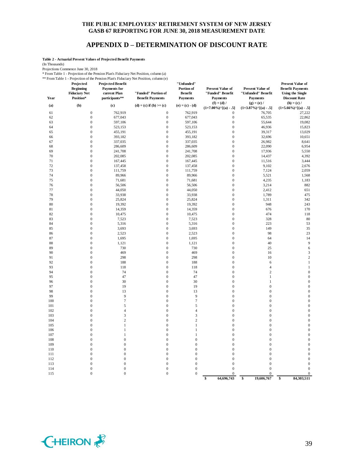#### **APPENDIX D – DETERMINATION OF DISCOUNT RATE**

**Table 2 - Actuarial Present Values of Projected Benefit Payments**

(In Thousands)

Projections Commence June 30, 2018

\* From Table 1 - Projection of the Pension Plan's Fiduciary Net Position, column (a)

\*\* From Table 1 - Projection of the Pension Plan's Fiduciary Net Position, column (e)

| 1101111001011<br>Year | Trolection of the 1<br>Projected<br><b>Beginning</b><br><b>Fiduciary Net</b><br>Position* | <b>Projected Benefit</b><br><b>Payments</b> for<br>current Plan<br>participants** | 1011 1 Ruis 1 Ruichin y 1 fet 1 031 aoin, containn (c)<br>"Funded" Portion of<br><b>Benefit Payments</b> | "Unfunded"<br>Portion of<br><b>Benefit</b><br><b>Payments</b> | <b>Present Value of</b><br>"Funded" Benefit<br><b>Payments</b> | <b>Present Value of</b><br>"Unfunded" Benefit<br><b>Payments</b> | <b>Present Value of</b><br><b>Benefit Payments</b><br><b>Using the Single</b><br><b>Discount Rate</b> |
|-----------------------|-------------------------------------------------------------------------------------------|-----------------------------------------------------------------------------------|----------------------------------------------------------------------------------------------------------|---------------------------------------------------------------|----------------------------------------------------------------|------------------------------------------------------------------|-------------------------------------------------------------------------------------------------------|
| (a)                   | (b)                                                                                       | (c)                                                                               | $(d) = (c)$ if $(b) >= (c)$                                                                              | $(e) = (c) - (d)$                                             | $(f) = (d) /$<br>$(1+7.00\%)$ <sup>^</sup> [(a) - .5]          | $(g) = (e) /$<br>$(1+3.87\%)$ <sup>^</sup> [(a) - .5]            | $(h) = (c) /$<br>$(1+5.66\%)$ <sup>^</sup> [(a) - .5]                                                 |
| 61                    | $\boldsymbol{0}$                                                                          | 762,919                                                                           | $\boldsymbol{0}$                                                                                         | 762,919                                                       | $\boldsymbol{0}$                                               | 76,705                                                           | 27,222                                                                                                |
| 62                    | $\boldsymbol{0}$                                                                          | 677,043                                                                           | $\mathbf{0}$                                                                                             | 677,043                                                       | $\boldsymbol{0}$                                               | 65,535                                                           | 22,862                                                                                                |
| 63                    | $\boldsymbol{0}$                                                                          | 597,106                                                                           | $\mathbf{0}$                                                                                             | 597,106                                                       | $\boldsymbol{0}$                                               | 55,644                                                           | 19,082                                                                                                |
| 64                    | $\boldsymbol{0}$                                                                          | 523,153                                                                           | $\boldsymbol{0}$                                                                                         | 523,153                                                       | $\boldsymbol{0}$                                               | 46,936                                                           | 15,823                                                                                                |
| 65                    | $\boldsymbol{0}$                                                                          | 455,191                                                                           | $\mathbf{0}$                                                                                             | 455,191                                                       | $\boldsymbol{0}$                                               | 39,317                                                           | 13,029                                                                                                |
| 66                    | $\boldsymbol{0}$                                                                          | 393,182                                                                           | $\boldsymbol{0}$                                                                                         | 393,182                                                       | $\boldsymbol{0}$                                               | 32,696                                                           | 10,651                                                                                                |
| 67                    | $\mathbf{0}$                                                                              | 337,035                                                                           | $\mathbf{0}$                                                                                             | 337,035                                                       | $\boldsymbol{0}$                                               | 26,982                                                           | 8,641                                                                                                 |
| 68                    | $\boldsymbol{0}$                                                                          | 286,609                                                                           | $\mathbf{0}$                                                                                             | 286,609                                                       | $\boldsymbol{0}$                                               | 22,090                                                           | 6,954                                                                                                 |
| 69                    | $\boldsymbol{0}$                                                                          | 241,708                                                                           | $\mathbf{0}$                                                                                             | 241,708                                                       | $\mathbf{0}$                                                   | 17,936                                                           | 5,550                                                                                                 |
| 70                    | $\boldsymbol{0}$                                                                          | 202,085                                                                           | $\mathbf{0}$                                                                                             | 202,085                                                       | $\mathbf{0}$                                                   | 14,437                                                           | 4,392                                                                                                 |
| 71                    | $\mathbf{0}$                                                                              | 167,445                                                                           | $\overline{0}$                                                                                           | 167,445                                                       | $\mathbf{0}$                                                   | 11,516                                                           | 3,444                                                                                                 |
| 72                    | $\boldsymbol{0}$                                                                          | 137,458                                                                           | $\boldsymbol{0}$                                                                                         | 137,458                                                       | $\boldsymbol{0}$                                               | 9,102                                                            | 2,676                                                                                                 |
| 73                    | $\boldsymbol{0}$                                                                          | 111,759                                                                           | $\mathbf{0}$                                                                                             | 111,759                                                       | $\boldsymbol{0}$                                               | 7,124                                                            | 2,059                                                                                                 |
| 74                    | $\boldsymbol{0}$                                                                          | 89,966                                                                            | $\boldsymbol{0}$                                                                                         | 89,966                                                        | $\boldsymbol{0}$                                               | 5,521                                                            | 1,568                                                                                                 |
| 75                    | $\boldsymbol{0}$                                                                          | 71,681                                                                            | $\boldsymbol{0}$                                                                                         | 71,681                                                        | $\boldsymbol{0}$                                               | 4,235                                                            | 1,183                                                                                                 |
| 76                    | $\mathbf{0}$                                                                              | 56,506                                                                            | $\mathbf{0}$                                                                                             | 56,506                                                        | $\boldsymbol{0}$                                               | 3,214                                                            | 882                                                                                                   |
| 77                    | $\boldsymbol{0}$                                                                          | 44,050                                                                            | $\mathbf{0}$                                                                                             | 44,050                                                        | $\boldsymbol{0}$                                               | 2,412                                                            | 651                                                                                                   |
| 78                    | $\boldsymbol{0}$                                                                          | 33,938                                                                            | $\mathbf{0}$                                                                                             | 33,938                                                        | $\boldsymbol{0}$                                               | 1,789                                                            | 475                                                                                                   |
| 79                    | $\boldsymbol{0}$                                                                          | 25,824                                                                            | $\boldsymbol{0}$                                                                                         | 25,824                                                        | $\boldsymbol{0}$                                               | 1,311                                                            | 342                                                                                                   |
| 80<br>81              | $\boldsymbol{0}$<br>$\boldsymbol{0}$                                                      | 19,392                                                                            | $\mathbf{0}$<br>$\boldsymbol{0}$                                                                         | 19,392                                                        | $\mathbf{0}$<br>$\boldsymbol{0}$                               | 948<br>676                                                       | 243                                                                                                   |
| 82                    | $\boldsymbol{0}$                                                                          | 14,359<br>10,475                                                                  | $\mathbf{0}$                                                                                             | 14,359<br>10,475                                              | $\boldsymbol{0}$                                               | 474                                                              | 170<br>118                                                                                            |
| 83                    | $\boldsymbol{0}$                                                                          | 7,523                                                                             | $\mathbf{0}$                                                                                             | 7,523                                                         | $\mathbf{0}$                                                   | 328                                                              | 80                                                                                                    |
| 84                    | $\boldsymbol{0}$                                                                          | 5,316                                                                             | $\mathbf{0}$                                                                                             | 5,316                                                         | $\mathbf{0}$                                                   | 223                                                              | 53                                                                                                    |
| 85                    | $\boldsymbol{0}$                                                                          | 3,693                                                                             | $\boldsymbol{0}$                                                                                         | 3,693                                                         | $\boldsymbol{0}$                                               | 149                                                              | 35                                                                                                    |
| 86                    | $\mathbf{0}$                                                                              | 2,523                                                                             | $\overline{0}$                                                                                           | 2,523                                                         | $\mathbf{0}$                                                   | 98                                                               | 23                                                                                                    |
| 87                    | $\boldsymbol{0}$                                                                          | 1,695                                                                             | $\boldsymbol{0}$                                                                                         | 1,695                                                         | $\boldsymbol{0}$                                               | 64                                                               | 14                                                                                                    |
| 88                    | $\boldsymbol{0}$                                                                          | 1,121                                                                             | $\mathbf{0}$                                                                                             | 1,121                                                         | $\boldsymbol{0}$                                               | 40                                                               | 9                                                                                                     |
| 89                    | $\boldsymbol{0}$                                                                          | 730                                                                               | $\boldsymbol{0}$                                                                                         | 730                                                           | $\boldsymbol{0}$                                               | 25                                                               | 6                                                                                                     |
| 90                    | $\boldsymbol{0}$                                                                          | 469                                                                               | $\mathbf{0}$                                                                                             | 469                                                           | $\boldsymbol{0}$                                               | 16                                                               | 3                                                                                                     |
| 91                    | $\mathbf{0}$                                                                              | 298                                                                               | $\mathbf{0}$                                                                                             | 298                                                           | $\boldsymbol{0}$                                               | 10                                                               | $\overline{c}$                                                                                        |
| 92                    | $\boldsymbol{0}$                                                                          | 188                                                                               | $\mathbf{0}$                                                                                             | 188                                                           | $\boldsymbol{0}$                                               | 6                                                                | $\mathbf{1}$                                                                                          |
| 93                    | $\boldsymbol{0}$                                                                          | 118                                                                               | $\mathbf{0}$                                                                                             | 118                                                           | $\boldsymbol{0}$                                               | $\overline{4}$                                                   | $\mathbf{1}$                                                                                          |
| 94                    | $\boldsymbol{0}$                                                                          | 74                                                                                | $\boldsymbol{0}$                                                                                         | 74                                                            | $\boldsymbol{0}$                                               | $\sqrt{2}$                                                       | $\boldsymbol{0}$                                                                                      |
| 95                    | $\boldsymbol{0}$                                                                          | 47                                                                                | $\mathbf{0}$                                                                                             | 47                                                            | $\mathbf{0}$                                                   | $\mathbf{1}$                                                     | $\mathbf{0}$                                                                                          |
| 96                    | $\mathbf{0}$                                                                              | 30                                                                                | $\mathbf{0}$                                                                                             | 30                                                            | $\boldsymbol{0}$                                               | $\mathbf{1}$                                                     | $\boldsymbol{0}$                                                                                      |
| 97                    | $\boldsymbol{0}$                                                                          | 19                                                                                | $\mathbf{0}$                                                                                             | 19                                                            | $\boldsymbol{0}$                                               | $\bf{0}$                                                         | $\mathbf{0}$                                                                                          |
| 98                    | $\boldsymbol{0}$                                                                          | 13                                                                                | $\mathbf{0}$                                                                                             | 13                                                            | $\mathbf{0}$                                                   | $\mathbf{0}$                                                     | $\boldsymbol{0}$                                                                                      |
| 99                    | $\boldsymbol{0}$                                                                          | $\overline{9}$                                                                    | $\boldsymbol{0}$                                                                                         | $\overline{9}$                                                | $\boldsymbol{0}$                                               | $\boldsymbol{0}$                                                 | $\boldsymbol{0}$                                                                                      |
| 100                   | $\overline{0}$                                                                            | $\boldsymbol{7}$                                                                  | $\boldsymbol{0}$                                                                                         | $\tau$                                                        | $\overline{0}$                                                 | $\overline{0}$                                                   | $\boldsymbol{0}$                                                                                      |
| 101                   | $\mathbf{0}$                                                                              | 5                                                                                 | $\overline{0}$                                                                                           | 5                                                             | $\mathbf{0}$<br>$\mathbf{0}$                                   | $\mathbf{0}$<br>$\mathbf{0}$                                     | $\boldsymbol{0}$                                                                                      |
| 102                   | $\mathbf{0}$<br>$\boldsymbol{0}$                                                          | $\overline{4}$<br>$\overline{\mathbf{3}}$                                         | $\boldsymbol{0}$<br>$\mathbf{0}$                                                                         | $\overline{4}$<br>$\mathfrak z$                               | $\boldsymbol{0}$                                               | $\bf{0}$                                                         | $\boldsymbol{0}$<br>$\boldsymbol{0}$                                                                  |
| 103<br>104            | $\boldsymbol{0}$                                                                          | $\overline{c}$                                                                    | $\boldsymbol{0}$                                                                                         | $\overline{2}$                                                | $\boldsymbol{0}$                                               | $\boldsymbol{0}$                                                 | $\boldsymbol{0}$                                                                                      |
| 105                   | $\mathbf{0}$                                                                              | $\mathbf{1}$                                                                      | $\mathbf{0}$                                                                                             | 1                                                             | $\boldsymbol{0}$                                               | $\boldsymbol{0}$                                                 | $\boldsymbol{0}$                                                                                      |
| 106                   | $\mathbf{0}$                                                                              | $\mathbf{1}$                                                                      | $\mathbf{0}$                                                                                             | 1                                                             | $\boldsymbol{0}$                                               | $\bf{0}$                                                         | $\mathbf{0}$                                                                                          |
| 107                   | $\boldsymbol{0}$                                                                          | $\mathbf{1}$                                                                      | $\mathbf{0}$                                                                                             | $\mathbf{1}$                                                  | $\boldsymbol{0}$                                               | $\bf{0}$                                                         | $\boldsymbol{0}$                                                                                      |
| 108                   | $\boldsymbol{0}$                                                                          | $\boldsymbol{0}$                                                                  | $\mathbf{0}$                                                                                             | $\boldsymbol{0}$                                              | $\boldsymbol{0}$                                               | $\bf{0}$                                                         | $\mathbf{0}$                                                                                          |
| 109                   | $\boldsymbol{0}$                                                                          | $\boldsymbol{0}$                                                                  | $\mathbf{0}$                                                                                             | $\boldsymbol{0}$                                              | $\boldsymbol{0}$                                               | $\boldsymbol{0}$                                                 | $\boldsymbol{0}$                                                                                      |
| 110                   | $\overline{0}$                                                                            | $\boldsymbol{0}$                                                                  | $\mathbf{0}$                                                                                             | $\boldsymbol{0}$                                              | $\mathbf{0}$                                                   | $\mathbf{0}$                                                     | $\mathbf{0}$                                                                                          |
| 111                   | $\overline{0}$                                                                            | $\boldsymbol{0}$                                                                  | $\overline{0}$                                                                                           | $\mathbf{0}$                                                  | $\boldsymbol{0}$                                               | $\boldsymbol{0}$                                                 | $\boldsymbol{0}$                                                                                      |
| 112                   | $\mathbf{0}$                                                                              | $\boldsymbol{0}$                                                                  | $\mathbf{0}$                                                                                             | $\boldsymbol{0}$                                              | $\boldsymbol{0}$                                               | $\boldsymbol{0}$                                                 | $\boldsymbol{0}$                                                                                      |
| 113                   | $\boldsymbol{0}$                                                                          | $\boldsymbol{0}$                                                                  | $\mathbf{0}$                                                                                             | $\boldsymbol{0}$                                              | $\mathbf{0}$                                                   | $\overline{0}$                                                   | $\boldsymbol{0}$                                                                                      |
| 114                   | $\boldsymbol{0}$                                                                          | $\boldsymbol{0}$                                                                  | $\boldsymbol{0}$                                                                                         | $\boldsymbol{0}$                                              | $\boldsymbol{0}$                                               | $\overline{0}$                                                   | $\boldsymbol{0}$                                                                                      |
| 115                   | $\boldsymbol{0}$                                                                          | $\boldsymbol{0}$                                                                  | $\mathbf{0}$                                                                                             | $\boldsymbol{0}$                                              | $\boldsymbol{0}$                                               | $\mathbf{0}$                                                     | $\boldsymbol{0}$                                                                                      |
|                       |                                                                                           |                                                                                   |                                                                                                          |                                                               | $\mathbf{\hat{s}}$<br>64,696,743                               | \$<br>19,606,767                                                 | 84,303,511<br>\$                                                                                      |

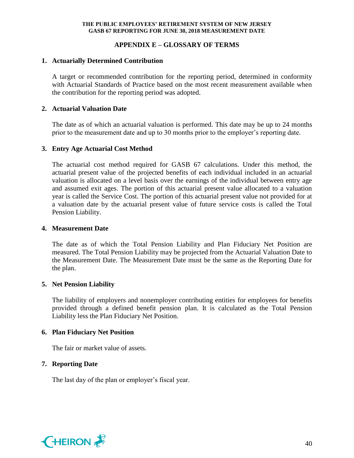# **APPENDIX E – GLOSSARY OF TERMS**

# **1. Actuarially Determined Contribution**

A target or recommended contribution for the reporting period, determined in conformity with Actuarial Standards of Practice based on the most recent measurement available when the contribution for the reporting period was adopted.

# **2. Actuarial Valuation Date**

The date as of which an actuarial valuation is performed. This date may be up to 24 months prior to the measurement date and up to 30 months prior to the employer's reporting date.

# **3. Entry Age Actuarial Cost Method**

The actuarial cost method required for GASB 67 calculations. Under this method, the actuarial present value of the projected benefits of each individual included in an actuarial valuation is allocated on a level basis over the earnings of the individual between entry age and assumed exit ages. The portion of this actuarial present value allocated to a valuation year is called the Service Cost. The portion of this actuarial present value not provided for at a valuation date by the actuarial present value of future service costs is called the Total Pension Liability.

#### **4. Measurement Date**

The date as of which the Total Pension Liability and Plan Fiduciary Net Position are measured. The Total Pension Liability may be projected from the Actuarial Valuation Date to the Measurement Date. The Measurement Date must be the same as the Reporting Date for the plan.

## **5. Net Pension Liability**

The liability of employers and nonemployer contributing entities for employees for benefits provided through a defined benefit pension plan. It is calculated as the Total Pension Liability less the Plan Fiduciary Net Position.

## **6. Plan Fiduciary Net Position**

The fair or market value of assets.

## **7. Reporting Date**

The last day of the plan or employer's fiscal year.